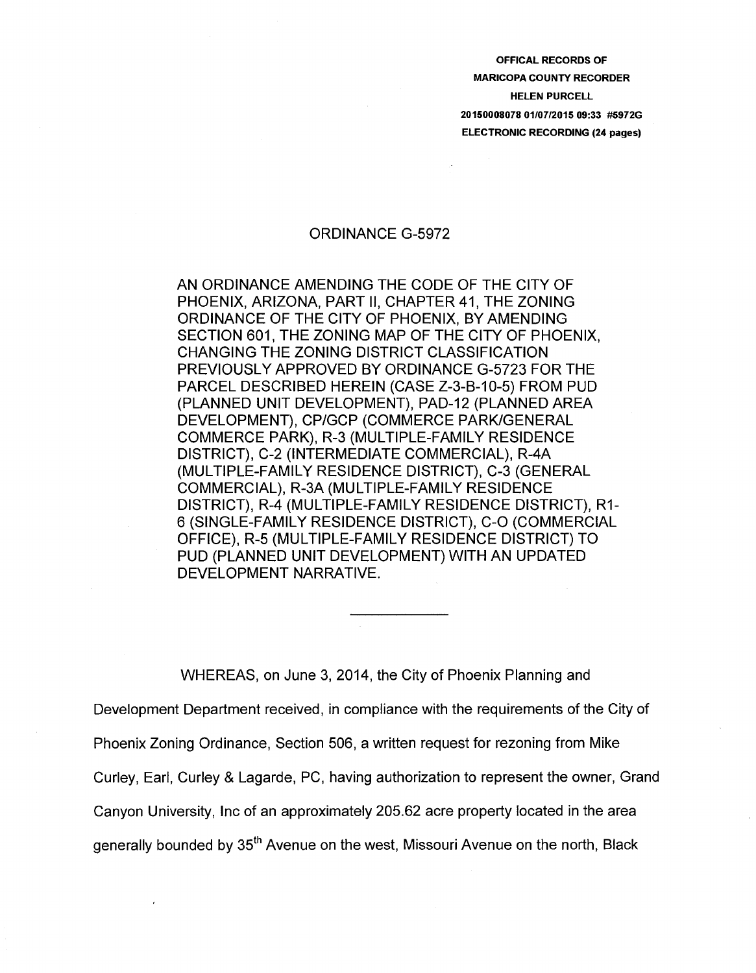OFFICAL RECORDS OF MARICOPA COUNTY RECORDER HELEN PURCELL 20150008078 01/07/2015 09:33 #5972G ELECTRONIC RECORDING (24 pages)

#### ORDINANCE G-5972

AN ORDINANCE AMENDING THE CODE OF THE CITY OF PHOENIX, ARIZONA, PART II, CHAPTER 41, THE ZONING ORDINANCE OF THE CITY OF PHOENIX, BY AMENDING SECTION 601, THE ZONING MAP OF THE CITY OF PHOENIX, CHANGING THE ZONING DISTRICT CLASSIFICATION PREVIOUSLY APPROVED BY ORDINANCE G-5723 FOR THE PARCEL DESCRIBED HEREIN (CASE Z-3-B-10-5) FROM PUD (PLANNED UNIT DEVELOPMENT), PAD-12 (PLANNED AREA DEVELOPMENT), CP/GCP (COMMERCE PARK/GENERAL COMMERCE PARK), R-3 (MULTIPLE-FAMILY RESIDENCE DISTRICT), C-2 (INTERMEDIATE COMMERCIAL), R-4A (MULTIPLE-FAMILY RESIDENCE DISTRICT), C-3 (GENERAL COMMERCIAL), R-3A (MULTIPLE-FAMILY RESIDENCE DISTRICT), R-4 (MULTIPLE-FAMILY RESIDENCE DISTRICT), R1- 6 (SINGLE-FAMILY RESIDENCE DISTRICT), C-0 (COMMERCIAL OFFICE), R-5 (MULTIPLE-FAMILY RESIDENCE DISTRICT) TO PUD (PLANNED UNIT DEVELOPMENT) WITH AN UPDATED DEVELOPMENT NARRATIVE.

WHEREAS, on June 3, 2014, the City of Phoenix Planning and Development Department received, in compliance with the requirements of the City of Phoenix Zoning Ordinance, Section 506, a written request for rezoning from Mike Curley, Earl, Curley & Lagarde, PC, having authorization to represent the owner, Grand Canyon University, Inc of an approximately 205.62 acre property located in the area generally bounded by 35<sup>th</sup> Avenue on the west, Missouri Avenue on the north, Black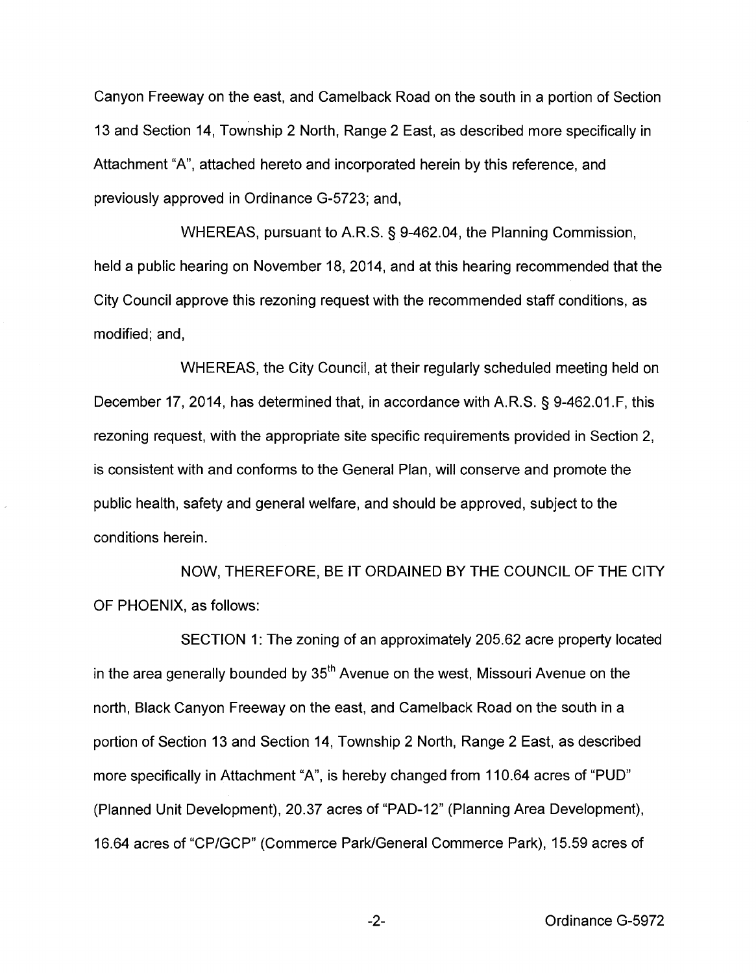Canyon Freeway on the east, and Camelback Road on the south in a portion of Section 13 and Section 14, Township 2 North, Range 2 East, as described more specifically in Attachment "A", attached hereto and incorporated herein by this reference, and previously approved in Ordinance G-5723; and,

WHEREAS, pursuant to A.R.S. § 9-462.04, the Planning Commission, held a public hearing on November 18, 2014, and at this hearing recommended that the City Council approve this rezoning request with the recommended staff conditions, as modified; and,

WHEREAS, the City Council, at their regularly scheduled meeting held on December 17, 2014, has determined that, in accordance with A.R.S. § 9-462.01.F, this rezoning request, with the appropriate site specific requirements provided in Section 2, is consistent with and conforms to the General Plan, will conserve and promote the public health, safety and general welfare, and should be approved, subject to the conditions herein.

NOW, THEREFORE, BE IT ORDAINED BY THE COUNCIL OF THE CITY OF PHOENIX, as follows:

SECTION 1: The zoning of an approximately 205.62 acre property located in the area generally bounded by 35<sup>th</sup> Avenue on the west, Missouri Avenue on the north, Black Canyon Freeway on the east, and Camelback Road on the south in a portion of Section 13 and Section 14, Township 2 North, Range 2 East, as described more specifically in Attachment "A", is hereby changed from 110.64 acres of "PUD" (Planned Unit Development), 20.37 acres of "PAD-12" (Planning Area Development), 16.64 acres of "CP/GCP" (Commerce Park/General Commerce Park), 15.59 acres of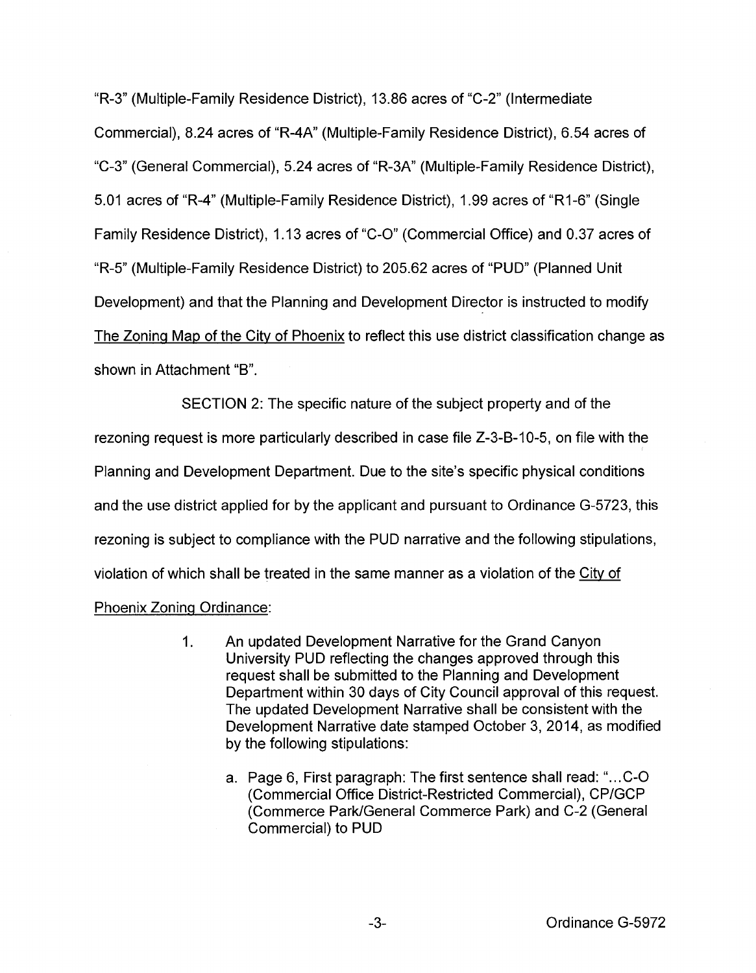"R-3" (Multiple-Family Residence District), 13.86 acres of "C-2" (Intermediate Commercial), 8.24 acres of "R-4A" (Multiple-Family Residence District), 6.54 acres of "C-3" (General Commercial), 5.24 acres of "R-3A" (Multiple-Family Residence District), 5.01 acres of "R-4" (Multiple-Family Residence District), 1.99 acres of "R1-6" (Single Family Residence District), 1.13 acres of "C-0" (Commercial Office) and 0.37 acres of "R-5" (Multiple-Family Residence District) to 205.62 acres of "PUD" (Planned Unit Development) and that the Planning and Development Director is instructed to modify The Zoning Map of the City of Phoenix to reflect this use district classification change as shown in Attachment "B".

SECTION 2: The specific nature of the subject property and of the rezoning request is more particularly described in case file Z-3-B-10-5, on file with the Planning and Development Department. Due to the site's specific physical conditions and the use district applied for by the applicant and pursuant to Ordinance G-5723, this rezoning is subject to compliance with the PUD narrative and the following stipulations, violation of which shall be treated in the same manner as a violation of the City of Phoenix Zoning Ordinance:

- 1. An updated Development Narrative for the Grand Canyon University PUD reflecting the changes approved through this request shall be submitted to the Planning and Development Department within 30 days of City Council approval of this request. The updated Development Narrative shall be consistent with the Development Narrative date stamped October 3, 2014, as modified by the following stipulations:
	- a. Page 6, First paragraph: The first sentence shall read: "...C-O (Commercial Office District-Restricted Commercial), CP/GCP (Commerce Park/General Commerce Park) and C-2 (General Commercial) to PUD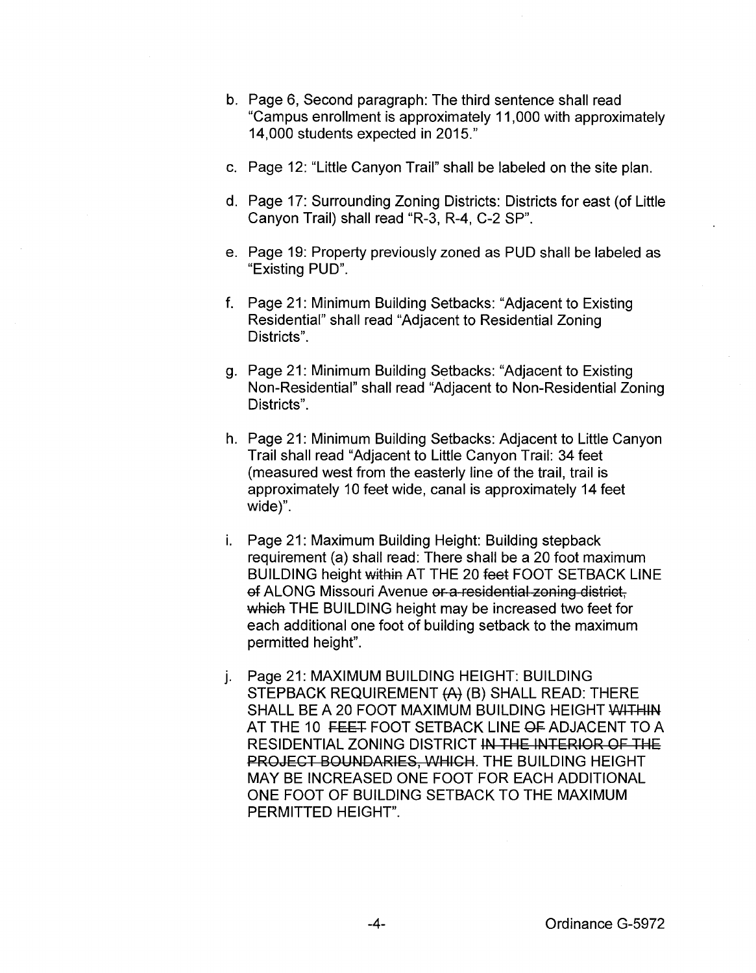- b. Page 6, Second paragraph: The third sentence shall read "Campus enrollment is approximately 11,000 with approximately 14,000 students expected in 2015."
- c. Page 12: "Little Canyon Trail" shall be labeled on the site plan.
- d. Page 17: Surrounding Zoning Districts: Districts for east (of Little Canyon Trail) shall read "R-3, R-4, C-2 SP".
- e. Page 19: Property previously zoned as PUD shall be labeled as "Existing PUD".
- f. Page 21: Minimum Building Setbacks: "Adjacent to Existing Residential" shall read "Adjacent to Residential Zoning Districts".
- g. Page 21: Minimum Building Setbacks: "Adjacent to Existing Non-Residential" shall read "Adjacent to Non-Residential Zoning Districts".
- h. Page 21: Minimum Building Setbacks: Adjacent to Little Canyon Trail shall read "Adjacent to Little Canyon Trail: 34 feet (measured west from the easterly line of the trail, trail is approximately 10 feet wide, canal is approximately 14 feet wide)".
- i. Page 21: Maximum Building Height: Building stepback requirement (a) shall read: There shall be a 20 foot maximum BUILDING height within AT THE 20 feet FOOT SETBACK LINE ef ALONG Missouri Avenue or a residential zoning district, which THE BUILDING height may be increased two feet for each additional one foot of building setback to the maximum permitted height".
- j. Page 21: MAXIMUM BUILDING HEIGHT: BUILDING STEPBACK REQUIREMENT (A) (B) SHALL READ: THERE SHALL BE A 20 FOOT MAXIMUM BUILDING HEIGHT WITHIN AT THE 10 FEET FOOT SETBACK LINE OF ADJACENT TO A RESIDENTIAL ZONING DISTRICT IN THE INTERIOR OF THE PROJECT BOUNDARIES, WHICH, THE BUILDING HEIGHT MAY BE INCREASED ONE FOOT FOR EACH ADDITIONAL ONE FOOT OF BUILDING SETBACK TO THE MAXIMUM PERMITTED HEIGHT".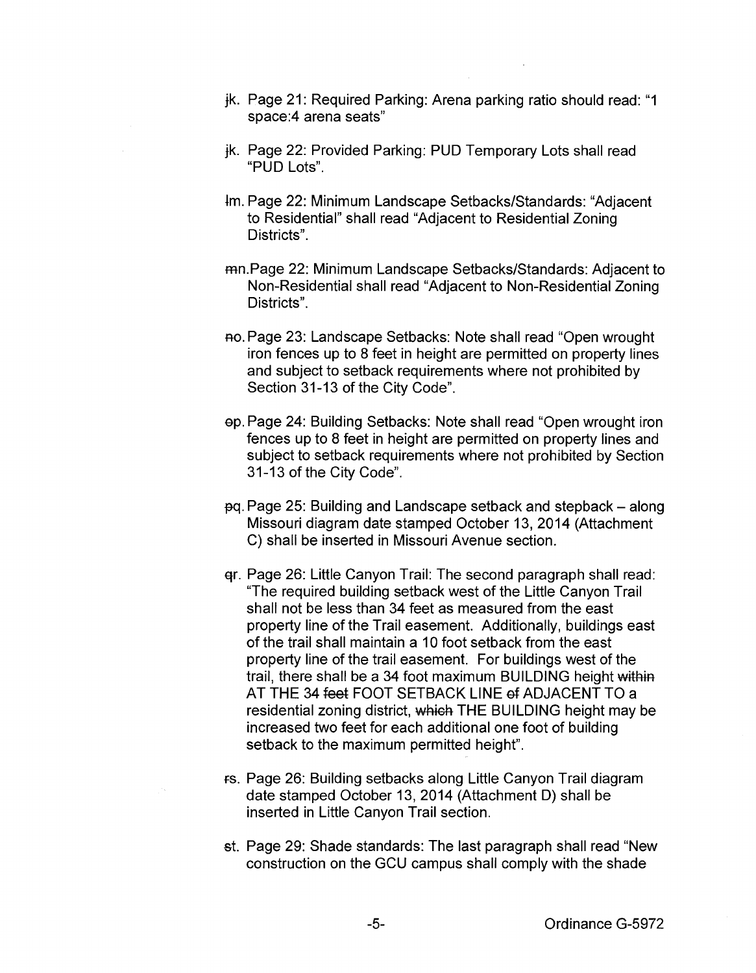- }k. Page 21: Required Parking: Arena parking ratio should read: "1 space:4 arena seats"
- jk. Page 22: Provided Parking: PUD Temporary Lots shall read "PUD Lots".
- tm. Page 22: Minimum Landscape Setbacks/Standards: "Adjacent to Residential" shall read "Adjacent to Residential Zoning Districts".
- mn.Page 22: Minimum Landscape Setbacks/Standards: Adjacent to Non-Residential shall read "Adjacent to Non-Residential Zoning Districts".
- Ro. Page 23: Landscape Setbacks: Note shall read "Open wrought iron fences up to 8 feet in height are permitted on property lines and subject to setback requirements where not prohibited by Section 31-13 of the City Code".
- ep. Page 24: Building Setbacks: Note shall read "Open wrought iron fences up to 8 feet in height are permitted on property lines and subject to setback requirements where not prohibited by Section 31-13 of the City Code".
- $pq$ . Page 25: Building and Landscape setback and stepback  $-$  along Missouri diagram date stamped October 13, 2014 (Attachment C) shall be inserted in Missouri Avenue section.
- er. Page 26: Little Canyon Trail: The second paragraph shall read: "The required building setback west of the Little Canyon Trail shall not be less than 34 feet as measured from the east property line of the Trail easement. Additionally, buildings east of the trail shall maintain a 10 foot setback from the east property line of the trail easement. For buildings west of the trail, there shall be a 34 foot maximum BUILDING height within AT THE 34 feet FOOT SETBACK LINE Gf ADJACENT TO a residential zoning district, which THE BUILDING height may be increased two feet for each additional one foot of building setback to the maximum permitted height".
- fS. Page 26: Building setbacks along Little Canyon Trail diagram date stamped October 13, 2014 (Attachment D) shall be inserted in Little Canyon Trail section.
- st. Page 29: Shade standards: The last paragraph shall read "New construction on the GCU campus shall comply with the shade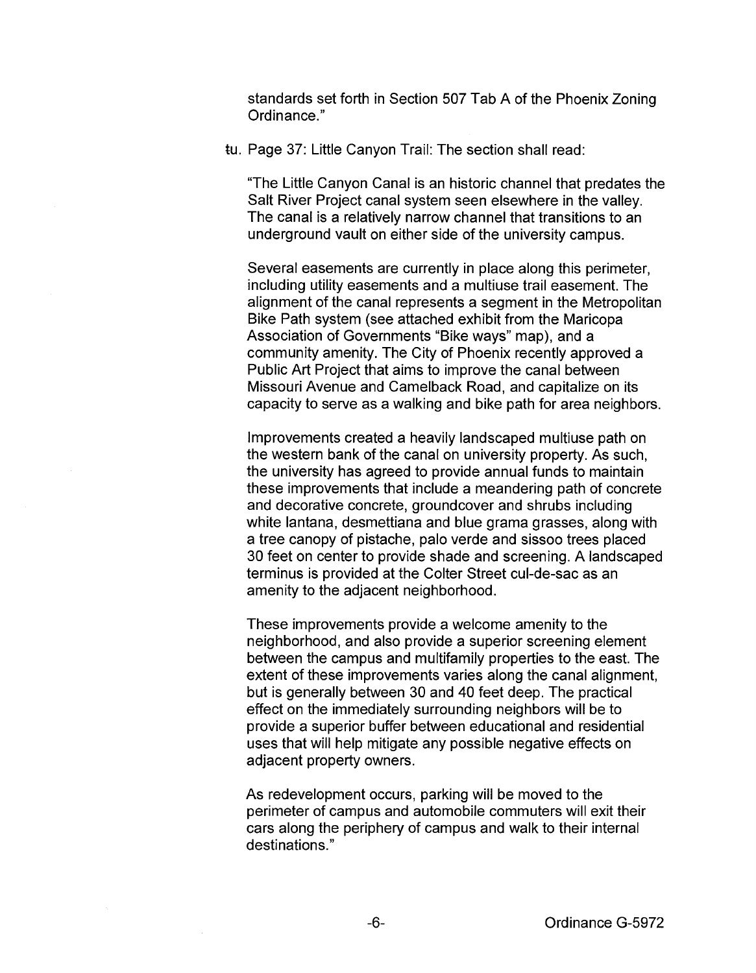standards set forth in Section 507 Tab A of the Phoenix Zoning Ordinance."

tu. Page 37: Little Canyon Trail: The section shall read:

"The Little Canyon Canal is an historic channel that predates the Salt River Project canal system seen elsewhere in the valley. The canal is a relatively narrow channel that transitions to an underground vault on either side of the university campus.

Several easements are currently in place along this perimeter, including utility easements and a multiuse trail easement. The alignment of the canal represents a segment in the Metropolitan Bike Path system (see attached exhibit from the Maricopa Association of Governments "Bike ways" map), and a community amenity. The City of Phoenix recently approved a Public Art Project that aims to improve the canal between Missouri Avenue and Camelback Road, and capitalize on its capacity to serve as a walking and bike path for area neighbors.

Improvements created a heavily landscaped multiuse path on the western bank of the canal on university property. As such, the university has agreed to provide annual funds to maintain these improvements that include a meandering path of concrete and decorative concrete, groundcover and shrubs including white lantana, desmettiana and blue grama grasses, along with a tree canopy of pistache, palo verde and sissoo trees placed 30 feet on center to provide shade and screening. A landscaped terminus is provided at the Colter Street cul-de-sac as an amenity to the adjacent neighborhood.

These improvements provide a welcome amenity to the neighborhood, and also provide a superior screening element between the campus and multifamily properties to the east. The extent of these improvements varies along the canal alignment, but is generally between 30 and 40 feet deep. The practical effect on the immediately surrounding neighbors will be to provide a superior buffer between educational and residential uses that will help mitigate any possible negative effects on adjacent property owners.

As redevelopment occurs, parking will be moved to the perimeter of campus and automobile commuters will exit their cars along the periphery of campus and walk to their internal destinations."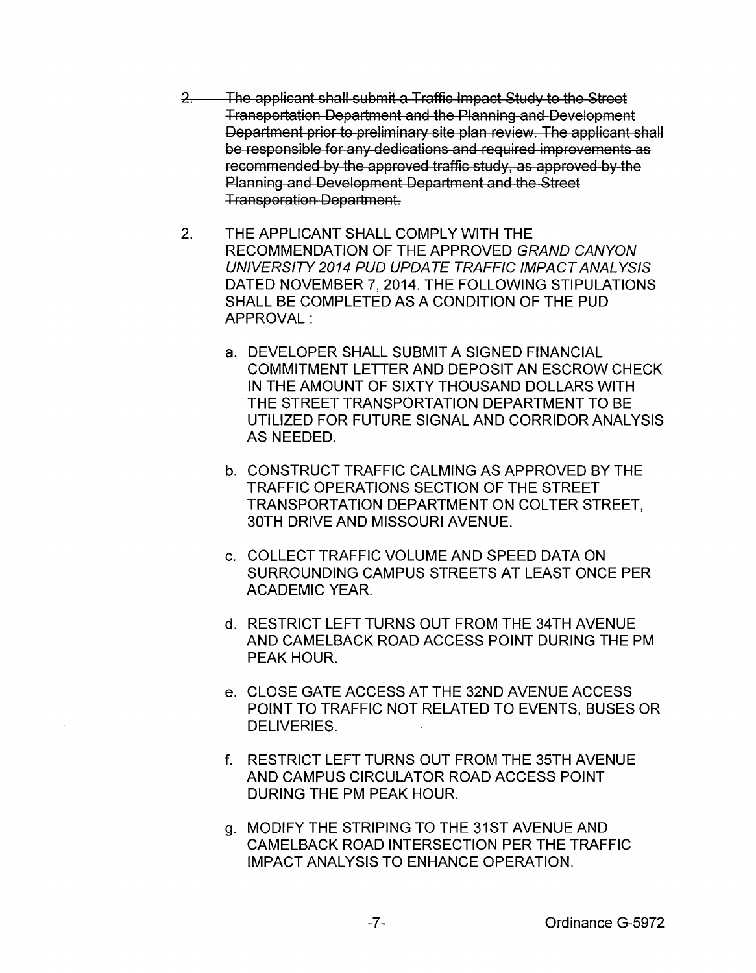- 2. The applicant shall submit a Traffic Impact Study to the Street Transportation Department and the Planning and Development Department prior to preliminary site plan review. The applicant shall be responsible for any dedications and required improvements as recommended by the approved traffic study, as approved by the Planning and Development Department and the Street Transporation Department.
- 2. THE APPLICANT SHALL COMPLY WITH THE RECOMMENDATION OF THE APPROVED GRAND CANYON UNIVERSITY 2014 PUD UPDATE TRAFFIC IMPACT ANALYSIS DATED NOVEMBER 7, 2014. THE FOLLOWING STIPULATIONS SHALL BE COMPLETED AS A CONDITION OF THE PUD APPROVAL:
	- a. DEVELOPER SHALL SUBMIT A SIGNED FINANCIAL COMMITMENT LETTER AND DEPOSIT AN ESCROW CHECK IN THE AMOUNT OF SIXTY THOUSAND DOLLARS WITH THE STREET TRANSPORTATION DEPARTMENT TO BE UTILIZED FOR FUTURE SIGNAL AND CORRIDOR ANALYSIS AS NEEDED.
	- b. CONSTRUCT TRAFFIC CALMING AS APPROVED BY THE TRAFFIC OPERATIONS SECTION OF THE STREET TRANSPORTATION DEPARTMENT ON COLTER STREET, 30TH DRIVE AND MISSOURI AVENUE.
	- c. COLLECT TRAFFIC VOLUME AND SPEED DATA ON SURROUNDING CAMPUS STREETS AT LEAST ONCE PER ACADEMIC YEAR.
	- d. RESTRICT LEFT TURNS OUT FROM THE 34TH AVENUE AND CAMELBACK ROAD ACCESS POINT DURING THE PM PEAK HOUR.
	- e. CLOSE GATE ACCESS AT THE 32ND AVENUE ACCESS POINT TO TRAFFIC NOT RELATED TO EVENTS, BUSES OR DELIVERIES.
	- f. RESTRICT LEFT TURNS OUT FROM THE 35TH AVENUE AND CAMPUS CIRCULATOR ROAD ACCESS POINT DURING THE PM PEAK HOUR.
	- g. MODIFY THE STRIPING TO THE 31ST AVENUE AND CAMELBACK ROAD INTERSECTION PER THE TRAFFIC IMPACT ANALYSIS TO ENHANCE OPERATION.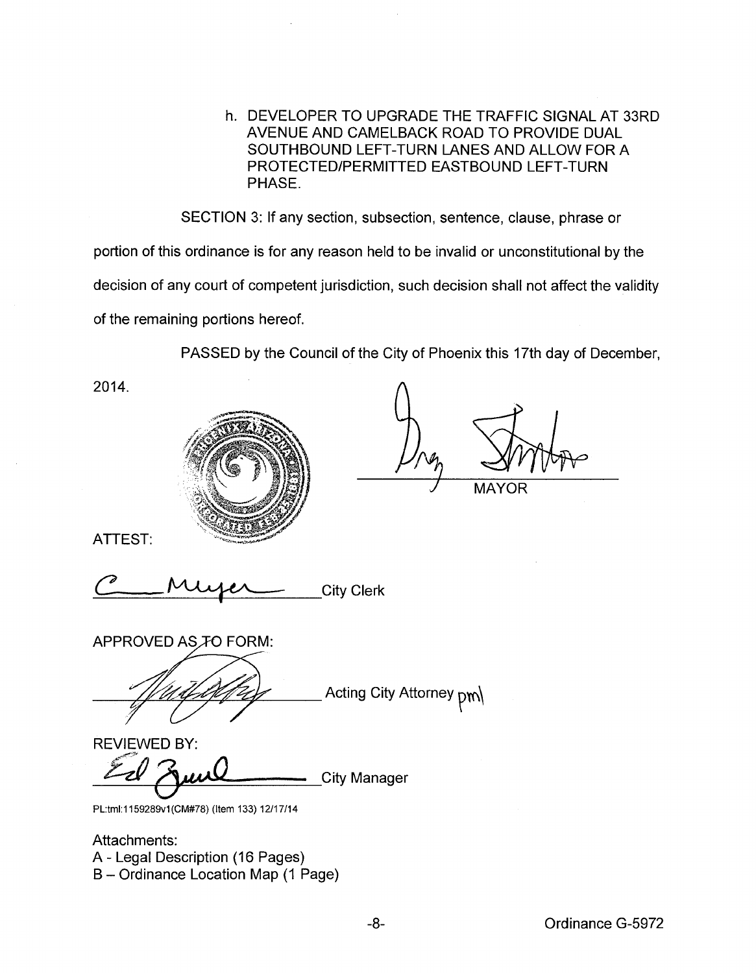h. DEVELOPER TO UPGRADE THE TRAFFIC SIGNAL AT 33RD AVENUE AND CAMELBACK ROAD TO PROVIDE DUAL SOUTHBOUND LEFT-TURN LANES AND ALLOW FOR A PROTECTED/PERMITTED EASTBOUND LEFT-TURN PHASE.

SECTION 3: If any section, subsection, sentence, clause, phrase or portion of this ordinance is for any reason held to be invalid or unconstitutional by the decision of any court of competent jurisdiction, such decision shall not affect the validity of the remaining portions hereof.

PASSED by the Council of the City of Phoenix this 17th day of December,

2014.



**MAYOR** 

ATTEST:

City Clerk

APPROVED AS TO FORM:

Acting City Attorney pm

REVIEWED BY:

City Manager

PL:tml: 1159289v1 (CM#78) (Item 133) 12/17/14

Attachments: A- Legal Description (16 Pages) B- Ordinance Location Map (1 Page)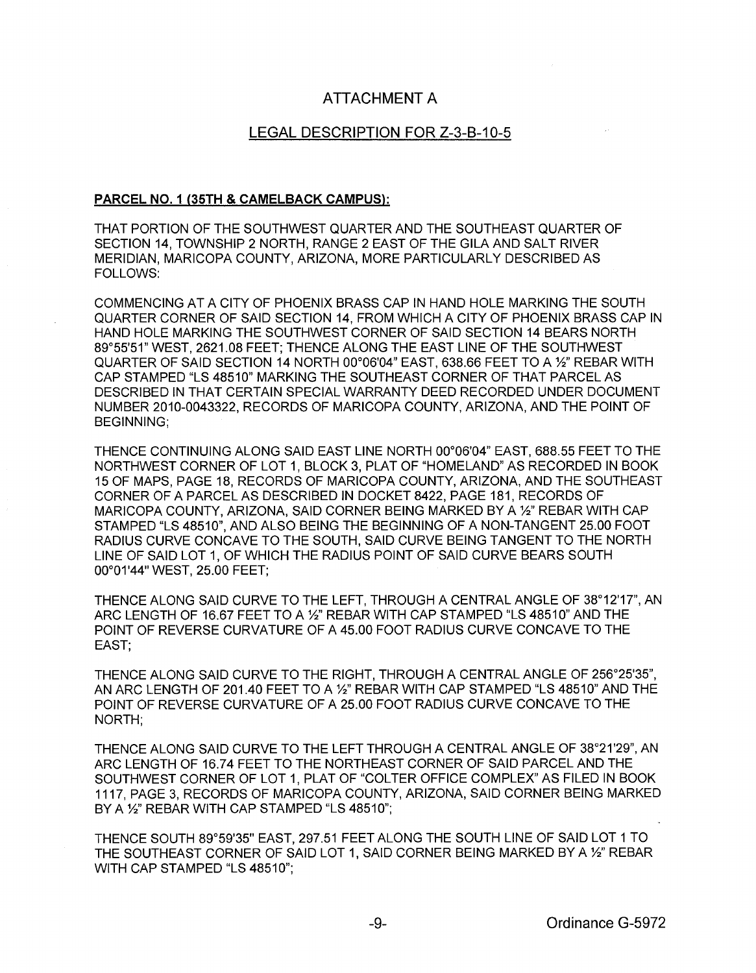# ATTACHMENT A

### LEGAL DESCRIPTION FOR Z-3-B-10-5

#### **PARCEL NO. 1 (35TH & CAMELBACK CAMPUS):**

THAT PORTION OF THE SOUTHWEST QUARTER AND THE SOUTHEAST QUARTER OF SECTION 14, TOWNSHIP 2 NORTH, RANGE 2 EAST OF THE GILA AND SALT RIVER MERIDIAN, MARICOPA COUNTY, ARIZONA, MORE PARTICULARLY DESCRIBED AS FOLLOWS:

COMMENCING AT A CITY OF PHOENIX BRASS CAP IN HAND HOLE MARKING THE SOUTH QUARTER CORNER OF SAID SECTION 14, FROM WHICH A CITY OF PHOENIX BRASS CAP IN HAND HOLE MARKING THE SOUTHWEST CORNER OF SAID SECTION 14 BEARS NORTH 89°55'51" WEST, 2621.08 FEET; THENCE ALONG THE EAST LINE OF THE SOUTHWEST QUARTER OF SAID SECTION 14 NORTH 00°06'04" EAST, 638.66 FEET TO A%" REBAR WITH CAP STAMPED "LS 48510" MARKING THE SOUTHEAST CORNER OF THAT PARCEL AS DESCRIBED IN THAT CERTAIN SPECIAL WARRANTY DEED RECORDED UNDER DOCUMENT NUMBER 2010-0043322, RECORDS OF MARICOPA COUNTY, ARIZONA, AND THE POINT OF BEGINNING;

THENCE CONTINUING ALONG SAID EAST LINE NORTH 00°06'04" EAST, 688.55 FEET TO THE NORTHWEST CORNER OF LOT 1, BLOCK 3, PLAT OF "HOMELAND" AS RECORDED IN BOOK 15 OF MAPS, PAGE 18, RECORDS OF MARICOPA COUNTY, ARIZONA, AND THE SOUTHEAST CORNER OF A PARCEL AS DESCRIBED IN DOCKET 8422, PAGE 181, RECORDS OF MARICOPA COUNTY, ARIZONA, SAID CORNER BEING MARKED BY A 1/2" REBAR WITH CAP STAMPED "LS 48510", AND ALSO BEING THE BEGINNING OF A NON-TANGENT 25.00 FOOT RADIUS CURVE CONCAVE TO THE SOUTH, SAID CURVE BEING TANGENT TO THE NORTH LINE OF SAID LOT 1, OF WHICH THE RADIUS POINT OF SAID CURVE BEARS SOUTH 00°01'44" WEST, 25.00 FEET;

THENCE ALONG SAID CURVE TO THE LEFT, THROUGH A CENTRAL ANGLE OF 38°12'17", AN ARC LENGTH OF 16.67 FEET TO A 1/2" REBAR WITH CAP STAMPED "LS 48510" AND THE POINT OF REVERSE CURVATURE OF A 45.00 FOOT RADIUS CURVE CONCAVE TO THE EAST;

THENCE ALONG SAID CURVE TO THE RIGHT, THROUGH A CENTRAL ANGLE OF 256°25'35", AN ARC LENGTH OF 201.40 FEET TO A 1/2" REBAR WITH CAP STAMPED "LS 48510" AND THE POINT OF REVERSE CURVATURE OF A 25.00 FOOT RADIUS CURVE CONCAVE TO THE NORTH;

THENCE ALONG SAID CURVE TO THE LEFT THROUGH A CENTRAL ANGLE OF 38°21'29", AN ARC LENGTH OF 16.74 FEET TO THE NORTHEAST CORNER OF SAID PARCEL AND THE SOUTHWEST CORNER OF LOT 1, PLAT OF "COLTER OFFICE COMPLEX" AS FILED IN BOOK 1117, PAGE 3, RECORDS OF MARICOPA COUNTY, ARIZONA, SAID CORNER BEING MARKED BY A 1/2" REBAR WITH CAP STAMPED "LS 48510";

THENCE SOUTH 89°59'35" EAST, 297.51 FEET ALONG THE SOUTH LINE OF SAID LOT 1 TO THE SOUTHEAST CORNER OF SAID LOT 1, SAID CORNER BEING MARKED BY A 1/2" REBAR WITH CAP STAMPED "LS 48510";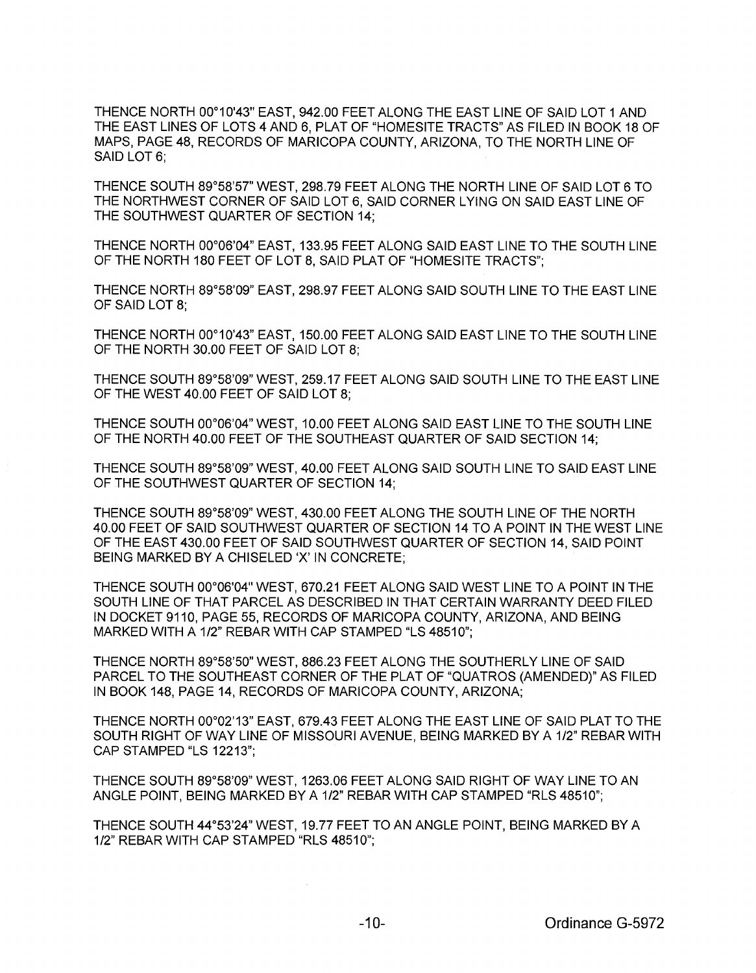THENCE NORTH 00°1 0'43" EAST, 942.00 FEET ALONG THE EAST LINE OF SAID LOT 1 AND THE EAST LINES OF LOTS 4 AND 6, PLAT OF "HOMESITE TRACTS" AS FILED IN BOOK 18 OF MAPS, PAGE 48, RECORDS OF MARICOPA COUNTY, ARIZONA, TO THE NORTH LINE OF SAID LOT6;

THENCE SOUTH 89°58'57" WEST, 298.79 FEET ALONG THE NORTH LINE OF SAID LOT 6 TO THE NORTHWEST CORNER OF SAID LOT 6, SAID CORNER LYING ON SAID EAST LINE OF THE SOUTHWEST QUARTER OF SECTION 14;

THENCE NORTH 00°06'04" EAST, 133.95 FEET ALONG SAID EAST LINE TO THE SOUTH LINE OF THE NORTH 180 FEET OF LOT 8, SAID PLAT OF "HOMESITE TRACTS";

THENCE NORTH 89°58'09" EAST, 298.97 FEET ALONG SAID SOUTH LINE TO THE EAST LINE OF SAID LOT 8;

THENCE NORTH 00°10'43" EAST, 150.00 FEET ALONG SAID EAST LINE TO THE SOUTH LINE OF THE NORTH 30.00 FEET OF SAID LOT 8;

THENCE SOUTH 89°58'09" WEST, 259.17 FEET ALONG SAID SOUTH LINE TO THE EAST LINE OF THE WEST 40.00 FEET OF SAID LOT 8;

THENCE SOUTH 00°06'04" WEST, 10.00 FEET ALONG SAID EAST LINE TO THE SOUTH LINE OF THE NORTH 40.00 FEET OF THE SOUTHEAST QUARTER OF SAID SECTION 14;

THENCE SOUTH 89°58'09" WEST, 40.00 FEET ALONG SAID SOUTH LINE TO SAID EAST LINE OF THE SOUTHWEST QUARTER OF SECTION 14;

THENCE SOUTH 89°58'09" WEST, 430.00 FEET ALONG THE SOUTH LINE OF THE NORTH 40.00 FEET OF SAID SOUTHWEST QUARTER OF SECTION 14 TO A POINT IN THE WEST LINE OF THE EAST 430.00 FEET OF SAID SOUTHWEST QUARTER OF SECTION 14, SAID POINT BEING MARKED BY A CHISELED 'X' IN CONCRETE;

THENCE SOUTH 00°06'04" WEST, 670.21 FEET ALONG SAID WEST LINE TO A POINT IN THE SOUTH LINE OF THAT PARCEL AS DESCRIBED IN THAT CERTAIN WARRANTY DEED FILED IN DOCKET 9110, PAGE 55, RECORDS OF MARICOPA COUNTY, ARIZONA, AND BEING MARKED WITH A 1/2" REBAR WITH CAP STAMPED "LS 48510";

THENCE NORTH 89°58'50" WEST, 886.23 FEET ALONG THE SOUTHERLY LINE OF SAID PARCEL TO THE SOUTHEAST CORNER OF THE PLAT OF "QUATROS (AMENDED)" AS FILED IN BOOK 148, PAGE 14, RECORDS OF MARICOPA COUNTY, ARIZONA;

THENCE NORTH 00°02'13" EAST, 679.43 FEET ALONG THE EAST LINE OF SAID PLAT TO THE SOUTH RIGHT OF WAY LINE OF MISSOURI AVENUE, BEING MARKED BY A 1/2" REBAR WITH CAP STAMPED "LS 12213";

THENCE SOUTH 89°58'09" WEST, 1263.06 FEET ALONG SAID RIGHT OF WAY LINE TO AN ANGLE POINT, BEING MARKED BY A 1/2" REBAR WITH CAP STAMPED "RLS 48510";

THENCE SOUTH 44°53'24" WEST, 19.77 FEET TO AN ANGLE POINT, BEING MARKED BY A 1/2" REBAR WITH CAP STAMPED "RLS 48510";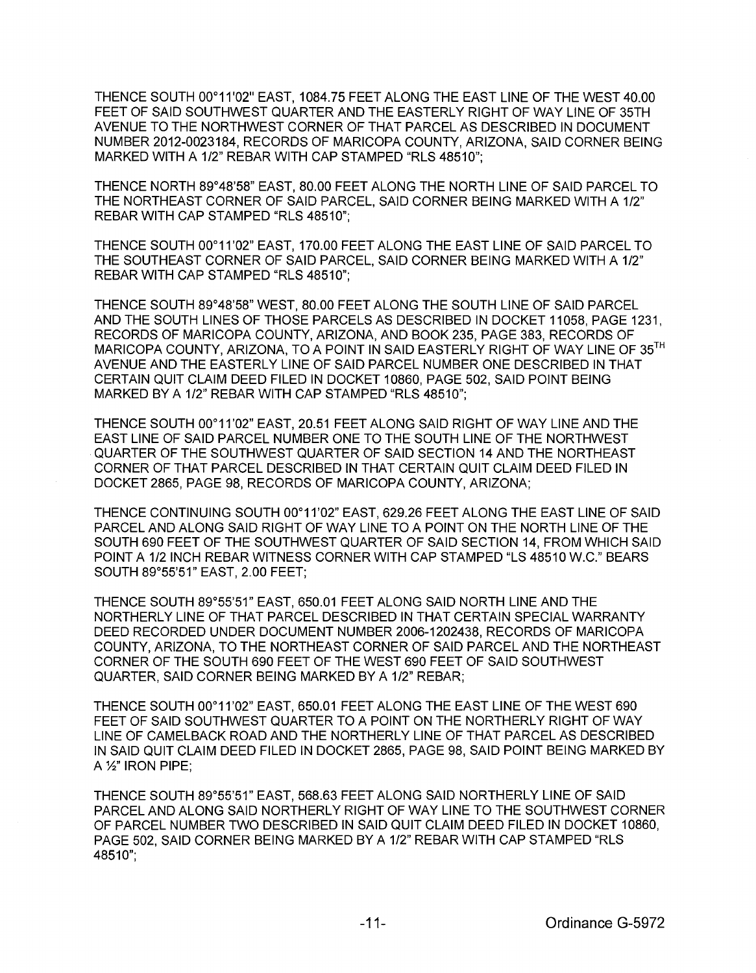THENCE SOUTH 00°11'02" EAST, 1084.75 FEET ALONG THE EAST LINE OF THE WEST 40.00 FEET OF SAID SOUTHWEST QUARTER AND THE EASTERLY RIGHT OF WAY LINE OF 35TH AVENUE TO THE NORTHWEST CORNER OF THAT PARCEL AS DESCRIBED IN DOCUMENT NUMBER 2012-0023184, RECORDS OF MARICOPA COUNTY, ARIZONA, SAID CORNER BEING MARKED WITH A 1/2" REBAR WITH CAP STAMPED "RLS 48510";

THENCE NORTH 89°48'58" EAST, 80.00 FEET ALONG THE NORTH LINE OF SAID PARCEL TO THE NORTHEAST CORNER OF SAID PARCEL, SAID CORNER BEING MARKED WITH A 1/2" REBAR WITH CAP STAMPED "RLS 48510";

THENCE SOUTH 00°11'02" EAST, 170.00 FEET ALONG THE EAST LINE OF SAID PARCEL TO THE SOUTHEAST CORNER OF SAID PARCEL, SAID CORNER BEING MARKED WITH A 1/2" REBAR WITH CAP STAMPED "RLS 48510";

THENCE SOUTH 89°48'58" WEST, 80.00 FEET ALONG THE SOUTH LINE OF SAID PARCEL AND THE SOUTH LINES OF THOSE PARCELS AS DESCRIBED IN DOCKET 11058, PAGE 1231, RECORDS OF MARICOPA COUNTY, ARIZONA, AND BOOK 235, PAGE 383, RECORDS OF MARICOPA COUNTY, ARIZONA, TO A POINT IN SAID EASTERLY RIGHT OF WAY LINE OF 35<sup>TH</sup> AVENUE AND THE EASTERLY LINE OF SAID PARCEL NUMBER ONE DESCRIBED IN THAT CERTAIN QUIT CLAIM DEED FILED IN DOCKET 10860, PAGE 502, SAID POINT BEING MARKED BY A 1/2" REBAR WITH CAP STAMPED "RLS 48510";

THENCE SOUTH 00°11'02" EAST, 20.51 FEET ALONG SAID RIGHT OF WAY LINE AND THE EAST LINE OF SAID PARCEL NUMBER ONE TO THE SOUTH LINE OF THE NORTHWEST QUARTER OF THE SOUTHWEST QUARTER OF SAID SECTION 14 AND THE NORTHEAST CORNER OF THAT PARCEL DESCRIBED IN THAT CERTAIN QUIT CLAIM DEED FILED IN DOCKET 2865, PAGE 98, RECORDS OF MARICOPA COUNTY, ARIZONA;

THENCE CONTINUING SOUTH 00°11'02" EAST, 629.26 FEET ALONG THE EAST LINE OF SAID PARCEL AND ALONG SAID RIGHT OF WAY LINE TO A POINT ON THE NORTH LINE OF THE SOUTH 690 FEET OF THE SOUTHWEST QUARTER OF SAID SECTION 14, FROM WHICH SAID POINT A 1/21NCH REBAR WITNESS CORNER WITH CAP STAMPED "LS 48510 W.C." BEARS SOUTH 89°55'51" EAST, 2.00 FEET;

THENCE SOUTH 89°55'51" EAST, 650.01 FEET ALONG SAID NORTH LINE AND THE NORTHERLY LINE OF THAT PARCEL DESCRIBED IN THAT CERTAIN SPECIAL WARRANTY DEED RECORDED UNDER DOCUMENT NUMBER 2006-1202438, RECORDS OF MARICOPA COUNTY, ARIZONA, TO THE NORTHEAST CORNER OF SAID PARCEL AND THE NORTHEAST CORNER OF THE SOUTH 690 FEET OF THE WEST 690 FEET OF SAID SOUTHWEST QUARTER, SAID CORNER BEING MARKED BY A 1/2" REBAR;

THENCE SOUTH 00°11'02" EAST, 650.01 FEET ALONG THE EAST LINE OF THE WEST 690 FEET OF SAID SOUTHWEST QUARTER TO A POINT ON THE NORTHERLY RIGHT OF WAY LINE OF CAMELBACK ROAD AND THE NORTHERLY LINE OF THAT PARCEL AS DESCRIBED IN SAID QUIT CLAIM DEED FILED IN DOCKET 2865, PAGE 98, SAID POINT BEING MARKED BY A  $\frac{1}{2}$ " IRON PIPE;

THENCE SOUTH 89°55'51" EAST, 568.63 FEET ALONG SAID NORTHERLY LINE OF SAID PARCEL AND ALONG SAID NORTHERLY RIGHT OF WAY LINE TO THE SOUTHWEST CORNER OF PARCEL NUMBER TWO DESCRIBED IN SAID QUIT CLAIM DEED FILED IN DOCKET 10860, PAGE 502, SAID CORNER BEING MARKED BY A 1/2" REBAR WITH CAP STAMPED "RLS 48510";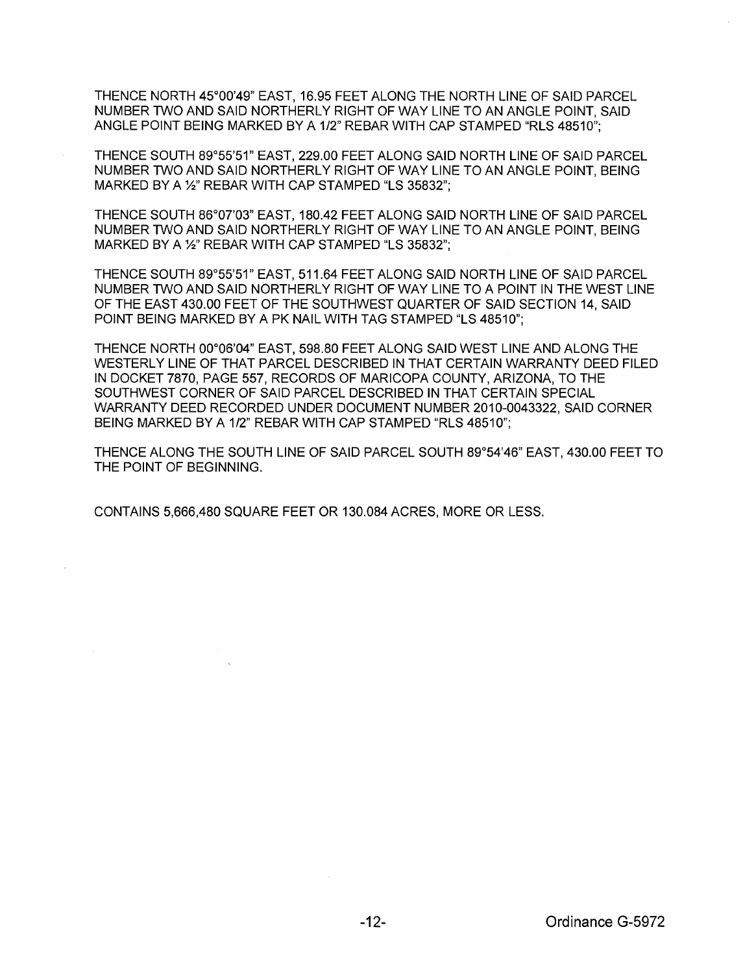THENCE NORTH 45°00'49" EAST, 16.95 FEET ALONG THE NORTH LINE OF SAID PARCEL NUMBER TWO AND SAID NORTHERLY RIGHT OF WAY LINE TO AN ANGLE POINT, SAID ANGLE POINT BEING MARKED BY A 1/2" REBAR WITH CAP STAMPED "RLS 48510";

THENCE SOUTH 89°55'51" EAST, 229.00 FEET ALONG SAID NORTH LINE OF SAID PARCEL NUMBER TWO AND SAID NORTHERLY RIGHT OF WAY LINE TO AN ANGLE POINT, BEING MARKED BY A %" REBAR WITH CAP STAMPED "LS 35832";

THENCE SOUTH 86°07'03" EAST, 180.42 FEET ALONG SAID NORTH LINE OF SAID PARCEL NUMBER TWO AND SAID NORTHERLY RIGHT OF WAY LINE TO AN ANGLE POINT, BEING MARKED BY A %" REBAR WITH CAP STAMPED "LS 35832";

THENCE SOUTH 89°55'51" EAST, 511.64 FEET ALONG SAID NORTH LINE OF SAID PARCEL NUMBER TWO AND SAID NORTHERLY RIGHT OF WAY LINE TO A POINT IN THE WEST LINE OF THE EAST 430.00 FEET OF THE SOUTHWEST QUARTER OF SAID SECTION 14, SAID POINT BEING MARKED BY A PK NAIL WITH TAG STAMPED "LS 48510";

THENCE NORTH 00°06'04" EAST, 598.80 FEET ALONG SAID WEST LINE AND ALONG THE WESTERLY LINE OF THAT PARCEL DESCRIBED IN THAT CERTAIN WARRANTY DEED FILED IN DOCKET 7870, PAGE 557, RECORDS OF MARICOPA COUNTY, ARIZONA, TO THE SOUTHWEST CORNER OF SAID PARCEL DESCRIBED IN THAT CERTAIN SPECIAL WARRANTY DEED RECORDED UNDER DOCUMENT NUMBER 2010-0043322, SAID CORNER BEING MARKED BY A 1/2" REBAR WITH CAP STAMPED "RLS 48510";

THENCE ALONG THE SOUTH LINE OF SAID PARCEL SOUTH 89°54'46" EAST, 430.00 FEET TO THE POINT OF BEGINNING.

CONTAINS 5,666,480 SQUARE FEET OR 130.084 ACRES, MORE OR LESS.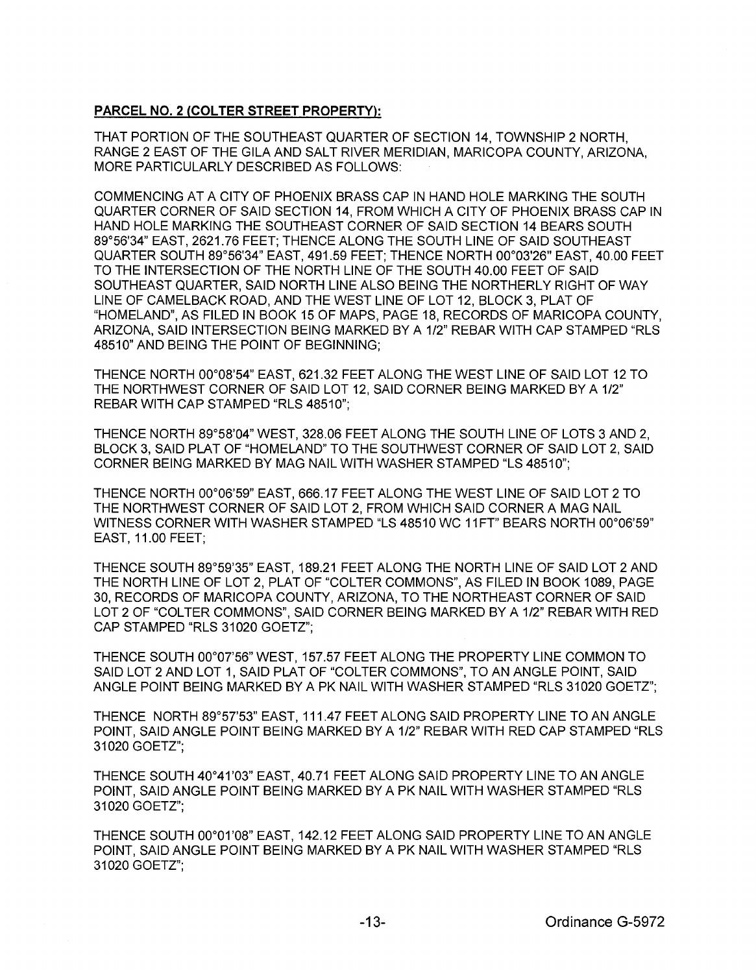# **PARCEL NO. 2 (COLTER STREET PROPERTY):**

THAT PORTION OF THE SOUTHEAST QUARTER OF SECTION 14, TOWNSHIP 2 NORTH, RANGE 2 EAST OF THE GILA AND SALT RIVER MERIDIAN, MARICOPA COUNTY, ARIZONA, MORE PARTICULARLY DESCRIBED AS FOLLOWS:

COMMENCING AT A CITY OF PHOENIX BRASS CAP IN HAND HOLE MARKING THE SOUTH QUARTER CORNER OF SAID SECTION 14, FROM WHICH A CITY OF PHOENIX BRASS CAP IN HAND HOLE MARKING THE SOUTHEAST CORNER OF SAID SECTION 14 BEARS SOUTH 89°56'34" EAST, 2621.76 FEET; THENCE ALONG THE SOUTH LINE OF SAID SOUTHEAST QUARTER SOUTH 89°56'34" EAST, 491.59 FEET; THENCE NORTH 00°03'26" EAST, 40.00 FEET TO THE INTERSECTION OF THE NORTH LINE OF THE SOUTH 40.00 FEET OF SAID SOUTHEAST QUARTER, SAID NORTH LINE ALSO BEING THE NORTHERLY RIGHT OF WAY LINE OF CAMELBACK ROAD, AND THE WEST LINE OF LOT 12, BLOCK 3, PLAT OF "HOMELAND", AS FILED IN BOOK 15 OF MAPS, PAGE 18, RECORDS OF MARICOPA COUNTY, ARIZONA, SAID INTERSECTION BEING MARKED BY A 1/2" REBAR WITH CAP STAMPED "RLS 48510" AND BEING THE POINT OF BEGINNING;

THENCE NORTH 00°08'54" EAST, 621.32 FEET ALONG THE WEST LINE OF SAID LOT 12 TO THE NORTHWEST CORNER OF SAID LOT 12, SAID CORNER BEING MARKED BY A 1/2" REBAR WITH CAP STAMPED "RLS 48510";

THENCE NORTH 89°58'04" WEST, 328.06 FEET ALONG THE SOUTH LINE OF LOTS 3 AND 2, BLOCK 3, SAID PLAT OF "HOMELAND" TO THE SOUTHWEST CORNER OF SAID LOT 2, SAID CORNER BEING MARKED BY MAG NAIL WITH WASHER STAMPED "LS 48510";

THENCE NORTH 00°06'59" EAST, 666.17 FEET ALONG THE WEST LINE OF SAID LOT 2 TO THE NORTHWEST CORNER OF SAID LOT 2, FROM WHICH SAID CORNER A MAG NAIL WITNESS CORNER WITH WASHER STAMPED "LS 48510 WC 11FT" BEARS NORTH 00°06'59" EAST, 11.00 FEET;

THENCE SOUTH 89°59'35" EAST, 189.21 FEET ALONG THE NORTH LINE OF SAID LOT 2 AND THE NORTH LINE OF LOT 2, PLAT OF "COLTER COMMONS", AS FILED IN BOOK 1089, PAGE 30, RECORDS OF MARICOPA COUNTY, ARIZONA, TO THE NORTHEAST CORNER OF SAID LOT 2 OF "COLTER COMMONS", SAID CORNER BEING MARKED BY A 1/2" REBAR WITH RED CAP STAMPED "RLS 31020 GOETZ";

THENCE SOUTH 00°07'56" WEST, 157.57 FEET ALONG THE PROPERTY LINE COMMON TO SAID LOT 2 AND LOT 1, SAID PLAT OF "COLTER COMMONS", TO AN ANGLE POINT, SAID ANGLE POINT BEING MARKED BY A PK NAIL WITH WASHER STAMPED "RLS 31020 GOETZ";

THENCE NORTH 89°57'53" EAST, 111.47 FEET ALONG SAID PROPERTY LINE TO AN ANGLE POINT, SAID ANGLE POINT BEING MARKED BY A 1/2" REBAR WITH RED CAP STAMPED "RLS 31020 GOETZ";

THENCE SOUTH 40°41'03" EAST, 40.71 FEET ALONG SAID PROPERTY LINE TO AN ANGLE POINT, SAID ANGLE POINT BEING MARKED BY A PK NAIL WITH WASHER STAMPED "RLS 31020 GOETZ";

THENCE SOUTH 00°01'08" EAST, 142.12 FEET ALONG SAID PROPERTY LINE TO AN ANGLE POINT, SAID ANGLE POINT BEING MARKED BY A PK NAIL WITH WASHER STAMPED "RLS 31020 GOETZ";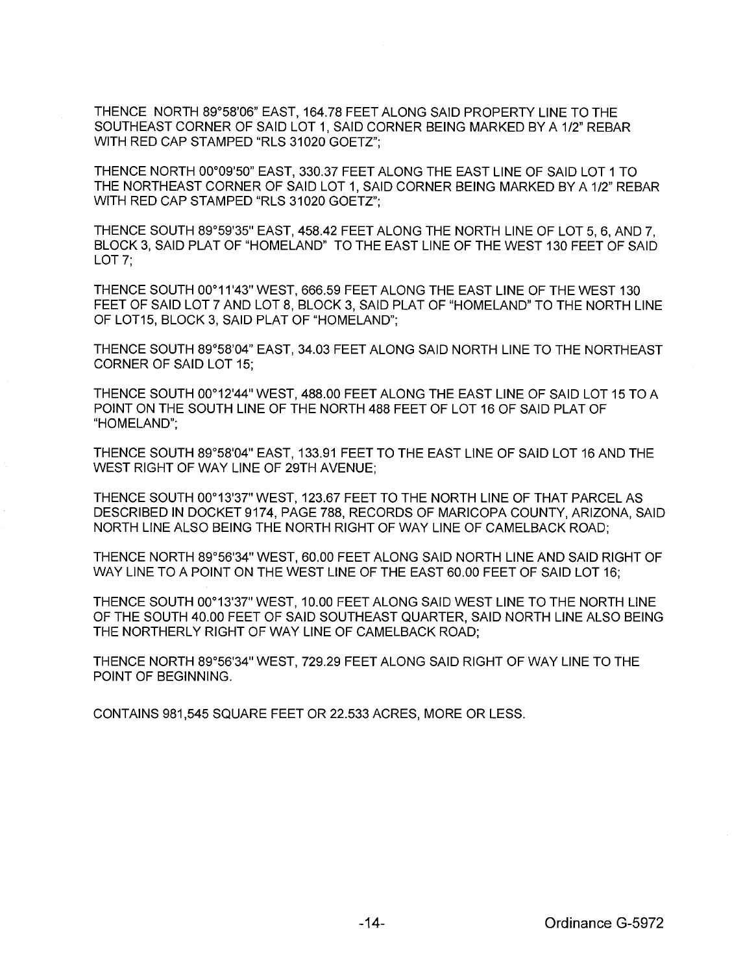THENCE NORTH 89°58'06" EAST, 164.78 FEET ALONG SAID PROPERTY LINE TO THE SOUTHEAST CORNER OF SAID LOT 1, SAID CORNER BEING MARKED BY A 1/2" REBAR WITH RED CAP STAMPED "RLS 31020 GOETZ";

THENCE NORTH 00°09'50" EAST, 330.37 FEET ALONG THE EAST LINE OF SAID LOT 1 TO THE NORTHEAST CORNER OF SAID LOT 1, SAID CORNER BEING MARKED BY A 1/2" REBAR WITH RED CAP STAMPED "RLS 31020 GOETZ";

THENCE SOUTH 89°59'35" EAST, 458.42 FEET ALONG THE NORTH LINE OF LOT 5, 6, AND 7, BLOCK 3, SAID PLAT OF "HOMELAND" TO THE EAST LINE OF THE WEST 130 FEET OF SAID LOT<sub>7:</sub>

THENCE SOUTH 00°11'43" WEST, 666.59 FEET ALONG THE EAST LINE OF THE WEST 130 FEET OF SAID LOT 7 AND LOT 8, BLOCK 3, SAID PLAT OF "HOMELAND" TO THE NORTH LINE OF LOT15, BLOCK 3, SAID PLAT OF "HOMELAND";

THENCE SOUTH 89°58′04″ EAST, 34.03 FEET ALONG SAID NORTH LINE TO THE NORTHEAST CORNER OF SAID LOT 15;

THENCE SOUTH 00°12'44" WEST, 488.00 FEET ALONG THE EAST LINE OF SAID LOT 15 TO A POINT ON THE SOUTH LINE OF THE NORTH 488 FEET OF LOT 16 OF SAID PLAT OF "HOMELAND";

THENCE SOUTH 89°58'04" EAST, 133.91 FEET TO THE EAST LINE OF SAID LOT 16 AND THE WEST RIGHT OF WAY LINE OF 29TH AVENUE;

THENCE SOUTH 00°13'37" WEST, 123.67 FEET TO THE NORTH LINE OF THAT PARCEL AS DESCRIBED IN DOCKET 9174, PAGE 788, RECORDS OF MARICOPA COUNTY, ARIZONA, SAID NORTH LINE ALSO BEING THE NORTH RIGHT OF WAY LINE OF CAMELBACK ROAD;

THENCE NORTH 89°56'34" WEST, 60.00 FEET ALONG SAID NORTH LINE AND SAID RIGHT OF WAY LINE TO A POINT ON THE WEST LINE OF THE EAST 60.00 FEET OF SAID LOT 16;

THENCE SOUTH 00°13'37" WEST, 10.00 FEET ALONG SAID WEST LINE TO THE NORTH LINE OF THE SOUTH 40.00 FEET OF SAID SOUTHEAST QUARTER, SAID NORTH LINE ALSO BEING THE NORTHERLY RIGHT OF WAY LINE OF CAMELBACK ROAD;

THENCE NORTH 89°56'34" WEST, 729.29 FEET ALONG SAID RIGHT OF WAY LINE TO THE POINT OF BEGINNING.

CONTAINS 981,545 SQUARE FEET OR 22.533 ACRES, MORE OR LESS.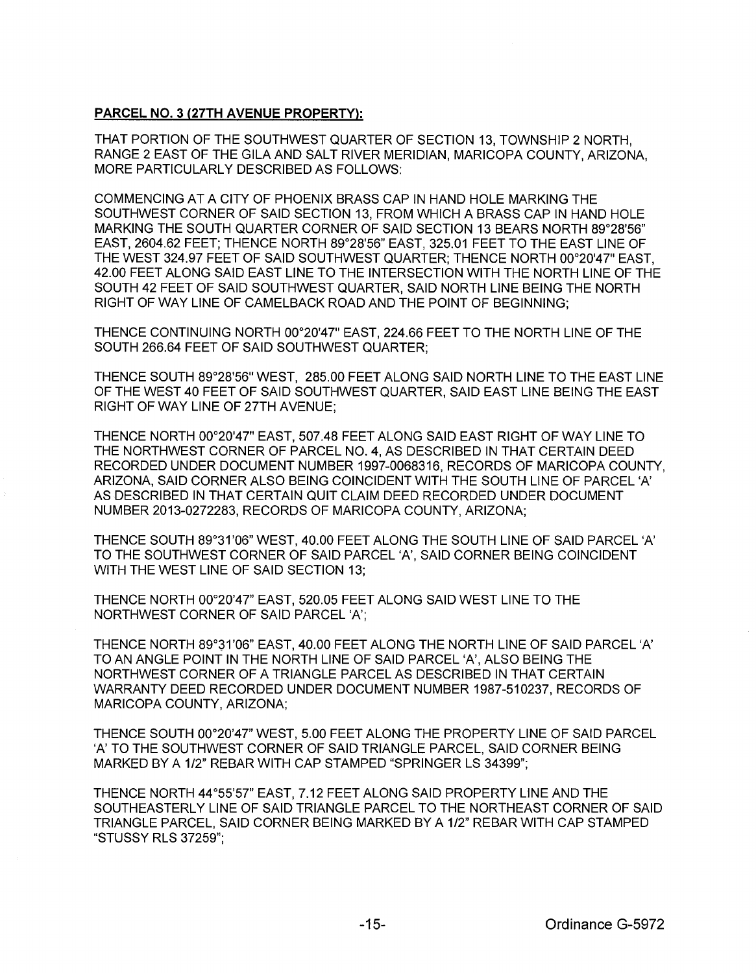# **PARCEL NO.3 (27TH AVENUE PROPERTY):**

THAT PORTION OF THE SOUTHWEST QUARTER OF SECTION 13, TOWNSHIP 2 NORTH, RANGE 2 EAST OF THE GILA AND SALT RIVER MERIDIAN, MARICOPA COUNTY, ARIZONA, MORE PARTICULARLY DESCRIBED AS FOLLOWS:

COMMENCING AT A CITY OF PHOENIX BRASS CAP IN HAND HOLE MARKING THE SOUTHWEST CORNER OF SAID SECTION 13, FROM WHICH A BRASS CAP IN HAND HOLE MARKING THE SOUTH QUARTER CORNER OF SAID SECTION 13 BEARS NORTH 89°28'56" EAST, 2604.62 FEET; THENCE NORTH 89°28'56" EAST, 325.01 FEET TO THE EAST LINE OF THE WEST 324.97 FEET OF SAID SOUTHWEST QUARTER; THENCE NORTH 00°20'47" EAST, 42.00 FEET ALONG SAID EAST LINE TO THE INTERSECTION WITH THE NORTH LINE OF THE SOUTH 42 FEET OF SAID SOUTHWEST QUARTER, SAID NORTH LINE BEING THE NORTH RIGHT OF WAY LINE OF CAMELBACK ROAD AND THE POINT OF BEGINNING;

THENCE CONTINUING NORTH 00°20'47" EAST, 224.66 FEET TO THE NORTH LINE OF THE SOUTH 266.64 FEET OF SAID SOUTHWEST QUARTER;

THENCE SOUTH 89°28'56" WEST, 285.00 FEET ALONG SAID NORTH LINE TO THE EAST LINE OF THE WEST 40 FEET OF SAID SOUTHWEST QUARTER, SAID EAST LINE BEING THE EAST RIGHT OF WAY LINE OF 27TH AVENUE;

THENCE NORTH 00°20'47" EAST, 507.48 FEET ALONG SAID EAST RIGHT OF WAY LINE TO THE NORTHWEST CORNER OF PARCEL NO.4, AS DESCRIBED IN THAT CERTAIN DEED RECORDED UNDER DOCUMENT NUMBER 1997-0068316, RECORDS OF MARICOPA COUNTY, ARIZONA, SAID CORNER ALSO BEING COINCIDENT WITH THE SOUTH LINE OF PARCEL 'A' AS DESCRIBED IN THAT CERTAIN QUIT CLAIM DEED RECORDED UNDER DOCUMENT NUMBER 2013-0272283, RECORDS OF MARICOPA COUNTY, ARIZONA;

THENCE SOUTH 89°31'06" WEST, 40.00 FEET ALONG THE SOUTH LINE OF SAID PARCEL 'A' TO THE SOUTHWEST CORNER OF SAID PARCEL 'A', SAID CORNER BEING COINCIDENT WITH THE WEST LINE OF SAID SECTION 13;

THENCE NORTH 00°20'47" EAST, 520.05 FEET ALONG SAID WEST LINE TO THE NORTHWEST CORNER OF SAID PARCEL 'A';

THENCE NORTH 89°31'06" EAST, 40.00 FEET ALONG THE NORTH LINE OF SAID PARCEL 'A' TO AN ANGLE POINT IN THE NORTH LINE OF SAID PARCEL 'A', ALSO BEING THE NORTHWEST CORNER OF A TRIANGLE PARCEL AS DESCRIBED IN THAT CERTAIN WARRANTY DEED RECORDED UNDER DOCUMENT NUMBER 1987-510237, RECORDS OF MARICOPA COUNTY, ARIZONA;

THENCE SOUTH 00°20'47" WEST, 5.00 FEET ALONG THE PROPERTY LINE OF SAID PARCEL 'A' TO THE SOUTHWEST CORNER OF SAID TRIANGLE PARCEL, SAID CORNER BEING MARKED BY A 1/2" REBAR WITH CAP STAMPED "SPRINGER LS 34399";

THENCE NORTH 44°55'57" EAST, 7.12 FEET ALONG SAID PROPERTY LINE AND THE SOUTHEASTERLY LINE OF SAID TRIANGLE PARCEL TO THE NORTHEAST CORNER OF SAID TRIANGLE PARCEL, SAID CORNER BEING MARKED BY A 1/2" REBAR WITH CAP STAMPED "STUSSY RLS 37259";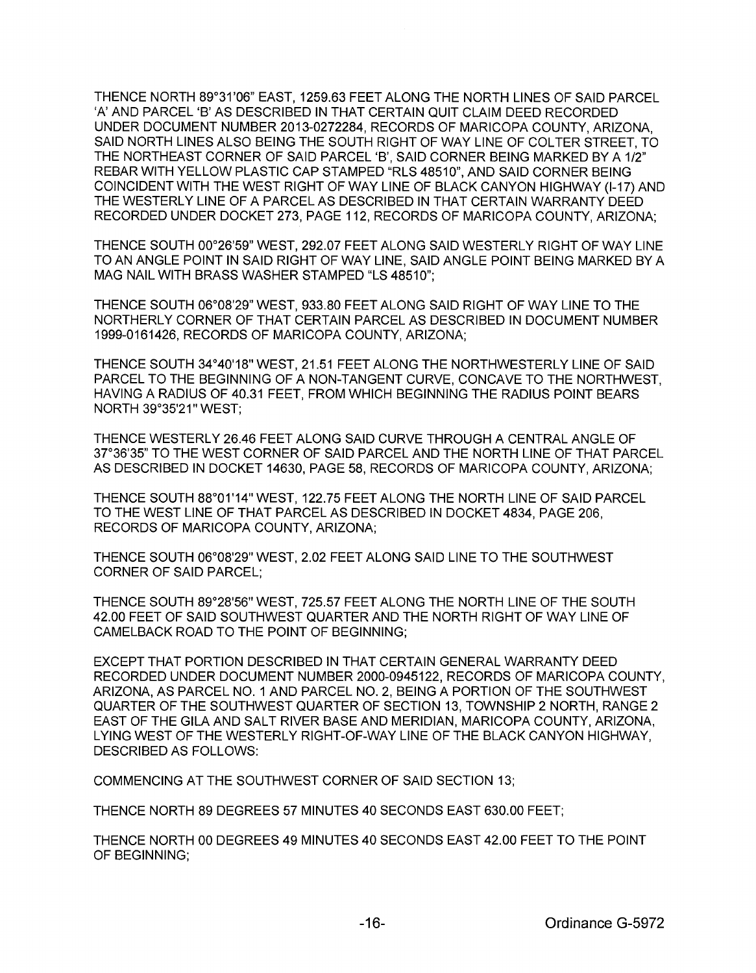THENCE NORTH 89°31'06" EAST, 1259.63 FEET ALONG THE NORTH LINES OF SAID PARCEL 'A' AND PARCEL 'B' AS DESCRIBED IN THAT CERTAIN QUIT CLAIM DEED RECORDED UNDER DOCUMENT NUMBER 2013-0272284, RECORDS OF MARICOPA COUNTY, ARIZONA, SAID NORTH LINES ALSO BEING THE SOUTH RIGHT OF WAY LINE OF COLTER STREET, TO THE NORTHEAST CORNER OF SAID PARCEL 'B', SAID CORNER BEING MARKED BY A 1/2" REBAR WITH YELLOW PLASTIC CAP STAMPED "RLS 48510", AND SAID CORNER BEING COINCIDENT WITH THE WEST RIGHT OF WAY LINE OF BLACK CANYON HIGHWAY (1-17) AND THE WESTERLY LINE OF A PARCEL AS DESCRIBED IN THAT CERTAIN WARRANTY DEED RECORDED UNDER DOCKET 273, PAGE 112, RECORDS OF MARICOPA COUNTY, ARIZONA;

THENCE SOUTH 00°26'59" WEST, 292.07 FEET ALONG SAID WESTERLY RIGHT OF WAY LINE TO AN ANGLE POINT IN SAID RIGHT OF WAY LINE, SAID ANGLE POINT BEING MARKED BY A MAG NAIL WITH BRASS WASHER STAMPED "LS 48510";

THENCE SOUTH 06°08'29" WEST, 933.80 FEET ALONG SAID RIGHT OF WAY LINE TO THE NORTHERLY CORNER OF THAT CERTAIN PARCEL AS DESCRIBED IN DOCUMENT NUMBER 1999-0161426, RECORDS OF MARICOPA COUNTY, ARIZONA;

THENCE SOUTH 34°40'18" WEST, 21.51 FEET ALONG THE NORTHWESTERLY LINE OF SAID PARCEL TO THE BEGINNING OF A NON-TANGENT CURVE, CONCAVE TO THE NORTHWEST, HAVING A RADIUS OF 40.31 FEET, FROM WHICH BEGINNING THE RADIUS POINT BEARS NORTH 39°35'21" WEST:

THENCE WESTERLY 26.46 FEET ALONG SAID CURVE THROUGH A CENTRAL ANGLE OF 37°36'35" TO THE WEST CORNER OF SAID PARCEL AND THE NORTH LINE OF THAT PARCEL AS DESCRIBED IN DOCKET 14630, PAGE 58, RECORDS OF MARICOPA COUNTY, ARIZONA;

THENCE SOUTH 88°01'14" WEST, 122.75 FEET ALONG THE NORTH LINE OF SAID PARCEL TO THE WEST LINE OF THAT PARCEL AS DESCRIBED IN DOCKET 4834, PAGE 206, RECORDS OF MARICOPA COUNTY, ARIZONA;

THENCE SOUTH 06°08'29" WEST, 2.02 FEET ALONG SAID LINE TO THE SOUTHWEST CORNER OF SAID PARCEL;

THENCE SOUTH 89°28'56" WEST, 725.57 FEET ALONG THE NORTH LINE OF THE SOUTH 42.00 FEET OF SAID SOUTHWEST QUARTER AND THE NORTH RIGHT OF WAY LINE OF CAMELBACK ROAD TO THE POINT OF BEGINNING;

EXCEPT THAT PORTION DESCRIBED IN THAT CERTAIN GENERAL WARRANTY DEED RECORDED UNDER DOCUMENT NUMBER 2000-0945122, RECORDS OF MARICOPA COUNTY, ARIZONA, AS PARCEL NO. 1 AND PARCEL NO. 2, BEING A PORTION OF THE SOUTHWEST QUARTER OF THE SOUTHWEST QUARTER OF SECTION 13, TOWNSHIP 2 NORTH, RANGE 2 EAST OF THE GILA AND SALT RIVER BASE AND MERIDIAN, MARICOPA COUNTY, ARIZONA, LYING WEST OF THE WESTERLY RIGHT-OF-WAY LINE OF THE BLACK CANYON HIGHWAY, DESCRIBED AS FOLLOWS:

COMMENCING AT THE SOUTHWEST CORNER OF SAID SECTION 13;

THENCE NORTH 89 DEGREES 57 MINUTES 40 SECONDS EAST 630.00 FEET;

THENCE NORTH 00 DEGREES 49 MINUTES 40 SECONDS EAST 42.00 FEET TO THE POINT OF BEGINNING;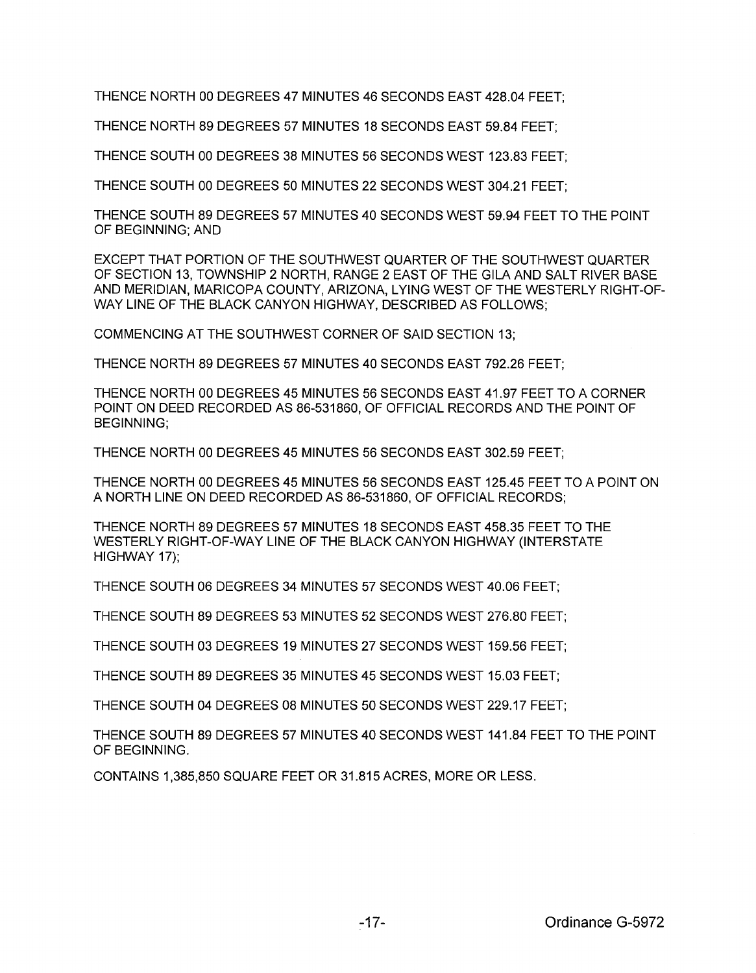THENCE NORTH 00 DEGREES 47 MINUTES 46 SECONDS EAST 428.04 FEET;

THENCE NORTH 89 DEGREES 57 MINUTES 18 SECONDS EAST 59.84 FEET;

THENCE SOUTH 00 DEGREES 38 MINUTES 56 SECONDS WEST 123.83 FEET;

THENCE SOUTH 00 DEGREES 50 MINUTES 22 SECONDS WEST 304.21 FEET;

THENCE SOUTH 89 DEGREES 57 MINUTES 40 SECONDS WEST 59.94 FEET TO THE POINT OF BEGINNING; AND

EXCEPT THAT PORTION OF THE SOUTHWEST QUARTER OF THE SOUTHWEST QUARTER OF SECTION 13, TOWNSHIP 2 NORTH, RANGE 2 EAST OF THE GILA AND SALT RIVER BASE AND MERIDIAN, MARICOPA COUNTY, ARIZONA, LYING WEST OF THE WESTERLY RIGHT-OF-WAY LINE OF THE BLACK CANYON HIGHWAY, DESCRIBED AS FOLLOWS;

COMMENCING AT THE SOUTHWEST CORNER OF SAID SECTION 13;

THENCE NORTH 89 DEGREES 57 MINUTES 40 SECONDS EAST 792.26 FEET;

THENCE NORTH 00 DEGREES 45 MINUTES 56 SECONDS EAST 41.97 FEET TO A CORNER POINT ON DEED RECORDED AS 86-531860, OF OFFICIAL RECORDS AND THE POINT OF BEGINNING;

THENCE NORTH 00 DEGREES 45 MINUTES 56 SECONDS EAST 302.59 FEET;

THENCE NORTH 00 DEGREES 45 MINUTES 56 SECONDS EAST 125.45 FEET TO A POINT ON A NORTH LINE ON DEED RECORDED AS 86-531860, OF OFFICIAL RECORDS;

THENCE NORTH 89 DEGREES 57 MINUTES 18 SECONDS EAST 458.35 FEET TO THE WESTERLY RIGHT-OF-WAY LINE OF THE BLACK CANYON HIGHWAY (INTERSTATE HIGHWAY 17);

THENCE SOUTH 06 DEGREES 34 MINUTES 57 SECONDS WEST 40.06 FEET;

THENCE SOUTH 89 DEGREES 53 MINUTES 52 SECONDS WEST 276.80 FEET;

THENCE SOUTH 03 DEGREES 19 MINUTES 27 SECONDS WEST 159.56 FEET;

THENCE SOUTH 89 DEGREES 35 MINUTES 45 SECONDS WEST 15.03 FEET;

THENCE SOUTH 04 DEGREES 08 MINUTES 50 SECONDS WEST 229.17 FEET;

THENCE SOUTH 89 DEGREES 57 MINUTES 40 SECONDS WEST 141.84 FEET TO THE POINT OF BEGINNING.

CONTAINS 1,385,850 SQUARE FEET OR 31.815 ACRES, MORE OR LESS.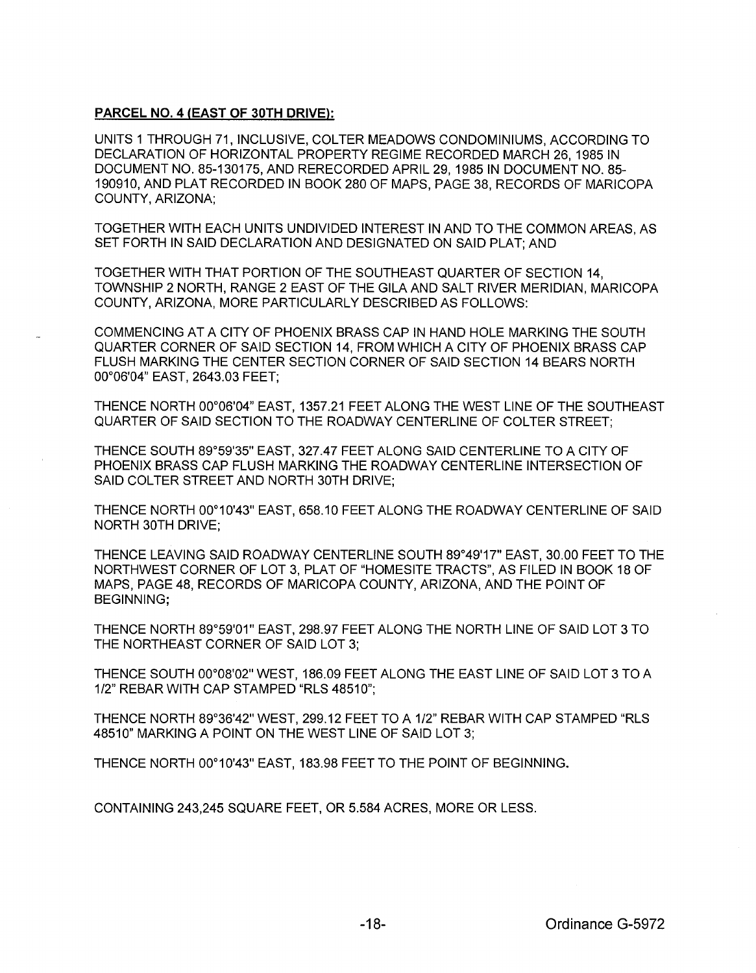#### **PARCEL NO.4 (EAST OF 30TH DRIVE):**

UNITS 1 THROUGH 71, INCLUSIVE, COLTER MEADOWS CONDOMINIUMS, ACCORDING TO DECLARATION OF HORIZONTAL PROPERTY REGIME RECORDED MARCH 26, 19851N DOCUMENT NO. 85-130175, AND RERECORDED APRIL 29, 1985 IN DOCUMENT NO. 85- 190910, AND PLAT RECORDED IN BOOK 280 OF MAPS, PAGE 38, RECORDS OF MARICOPA COUNTY, ARIZONA;

TOGETHER WITH EACH UNITS UNDIVIDED INTEREST IN AND TO THE COMMON AREAS, AS SET FORTH IN SAID DECLARATION AND DESIGNATED ON SAID PLAT; AND

TOGETHER WITH THAT PORTION OF THE SOUTHEAST QUARTER OF SECTION 14, TOWNSHIP 2 NORTH, RANGE 2 EAST OF THE GILA AND SALT RIVER MERIDIAN, MARICOPA COUNTY, ARIZONA, MORE PARTICULARLY DESCRIBED AS FOLLOWS:

COMMENCING AT A CITY OF PHOENIX BRASS CAP IN HAND HOLE MARKING THE SOUTH QUARTER CORNER OF SAID SECTION 14, FROM WHICH A CITY OF PHOENIX BRASS CAP FLUSH MARKING THE CENTER SECTION CORNER OF SAID SECTION 14 BEARS NORTH 00°06'04" EAST, 2643.03 FEET;

THENCE NORTH 00°06'04" EAST, 1357.21 FEET ALONG THE WEST LINE OF THE SOUTHEAST QUARTER OF SAID SECTION TO THE ROADWAY CENTERLINE OF COLTER STREET;

THENCE SOUTH 89°59'35" EAST, 327.47 FEET ALONG SAID CENTERLINE TO A CITY OF PHOENIX BRASS CAP FLUSH MARKING THE ROADWAY CENTERLINE INTERSECTION OF SAID COLTER STREET AND NORTH 30TH DRIVE;

THENCE NORTH 00°10'43" EAST, 658.10 FEET ALONG THE ROADWAY CENTERLINE OF SAID NORTH 30TH DRIVE;

THENCE LEAVING SAID ROADWAY CENTERLINE SOUTH 89°49'17" EAST, 30.00 FEET TO THE NORTHWEST CORNER OF LOT 3, PLAT OF "HOMESITE TRACTS", AS FILED IN BOOK 18 OF MAPS, PAGE 48, RECORDS OF MARICOPA COUNTY, ARIZONA, AND THE POINT OF BEGINNING;

THENCE NORTH 89°59'01" EAST, 298.97 FEET ALONG THE NORTH LINE OF SAID LOT 3 TO THE NORTHEAST CORNER OF SAID LOT 3;

THENCE SOUTH 00°08'02" WEST, 186.09 FEET ALONG THE EAST LINE OF SAID LOT 3 TO A 1/2" REBAR WITH CAP STAMPED "RLS 48510";

THENCE NORTH 89°36'42" WEST, 299.12 FEET TO A 1/2" REBAR WITH CAP STAMPED "RLS 48510" MARKING A POINT ON THE WEST LINE OF SAID LOT 3;

THENCE NORTH 00°10'43" EAST, 183.98 FEET TO THE POINT OF BEGINNING.

CONTAINING 243,245 SQUARE FEET, OR 5.584 ACRES, MORE OR LESS.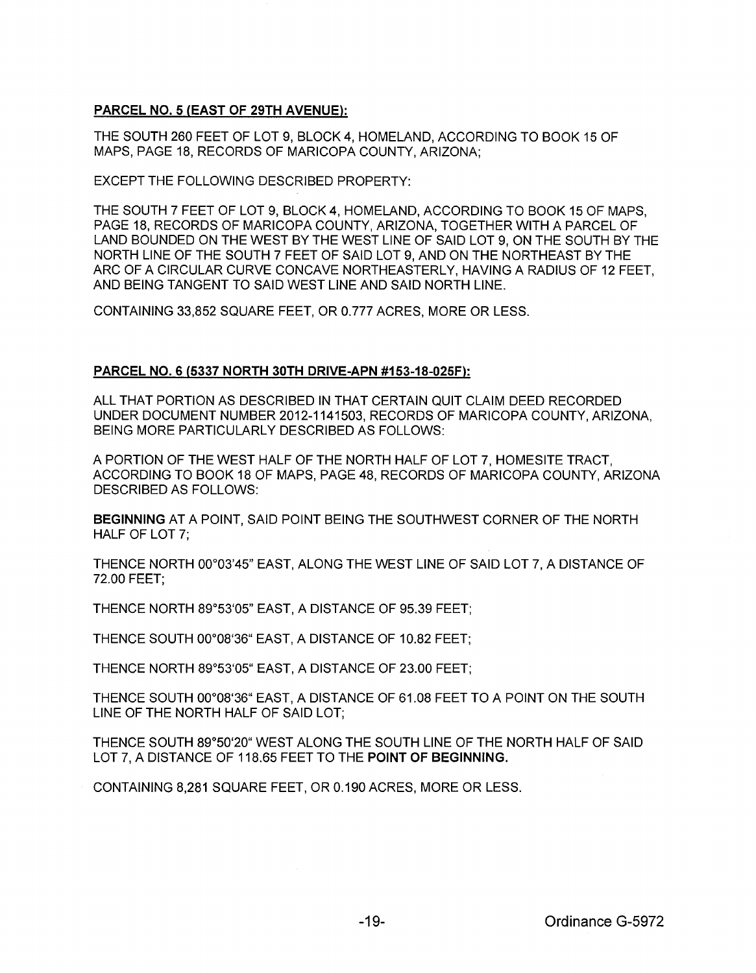# PARCEL NO.5 (EAST OF 29TH AVENUE):

THE SOUTH 260 FEET OF LOT 9, BLOCK 4, HOMELAND, ACCORDING TO BOOK 15 OF MAPS, PAGE 18, RECORDS OF MARICOPA COUNTY, ARIZONA;

EXCEPT THE FOLLOWING DESCRIBED PROPERTY:

THE SOUTH 7 FEET OF LOT 9, BLOCK 4, HOMELAND, ACCORDING TO BOOK 15 OF MAPS, PAGE 18, RECORDS OF MARICOPA COUNTY, ARIZONA, TOGETHER WITH A PARCEL OF LAND BOUNDED ON THE WEST BY THE WEST LINE OF SAID LOT 9, ON THE SOUTH BY THE NORTH LINE OF THE SOUTH 7 FEET OF SAID LOT 9, AND ON THE NORTHEAST BY THE ARC OF A CIRCULAR CURVE CONCAVE NORTHEASTERLY, HAVING A RADIUS OF 12 FEET, AND BEING TANGENT TO SAID WEST LINE AND SAID NORTH LINE.

CONTAINING 33,852 SQUARE FEET, OR 0.777 ACRES, MORE OR LESS.

## PARCEL NO.6 (5337 NORTH 30TH DRIVE-APN #153-18-025F):

ALL THAT PORTION AS DESCRIBED IN THAT CERTAIN QUIT CLAIM DEED RECORDED UNDER DOCUMENT NUMBER 2012-1141503, RECORDS OF MARICOPA COUNTY, ARIZONA, BEING MORE PARTICULARLY DESCRIBED AS FOLLOWS:

A PORTION OF THE WEST HALF OF THE NORTH HALF OF LOT 7, HOMESITE TRACT, ACCORDING TO BOOK 18 OF MAPS, PAGE 48, RECORDS OF MARICOPA COUNTY, ARIZONA DESCRIBED AS FOLLOWS:

BEGINNING AT A POINT, SAID POINT BEING THE SOUTHWEST CORNER OF THE NORTH HALF OF LOT 7;

THENCE NORTH 00°03'45" EAST, ALONG THE WEST LINE OF SAID LOT 7, A DISTANCE OF 72.00 FEET;

THENCE NORTH 89°53'05" EAST, A DISTANCE OF 95.39 FEET;

THENCE SOUTH 00°08'36" EAST, A DISTANCE OF 10.82 FEET;

THENCE NORTH 89°53'05" EAST, A DISTANCE OF 23.00 FEET;

THENCE SOUTH 00°08'36" EAST, A DISTANCE OF 61.08 FEET TO A POINT ON THE SOUTH LINE OF THE NORTH HALF OF SAID LOT;

THENCE SOUTH 89°50'20" WEST ALONG THE SOUTH LINE OF THE NORTH HALF OF SAID LOT 7, A DISTANCE OF 118.65 FEET TO THE POINT OF BEGINNING.

CONTAINING 8,281 SQUARE FEET, OR 0.190 ACRES, MORE OR LESS.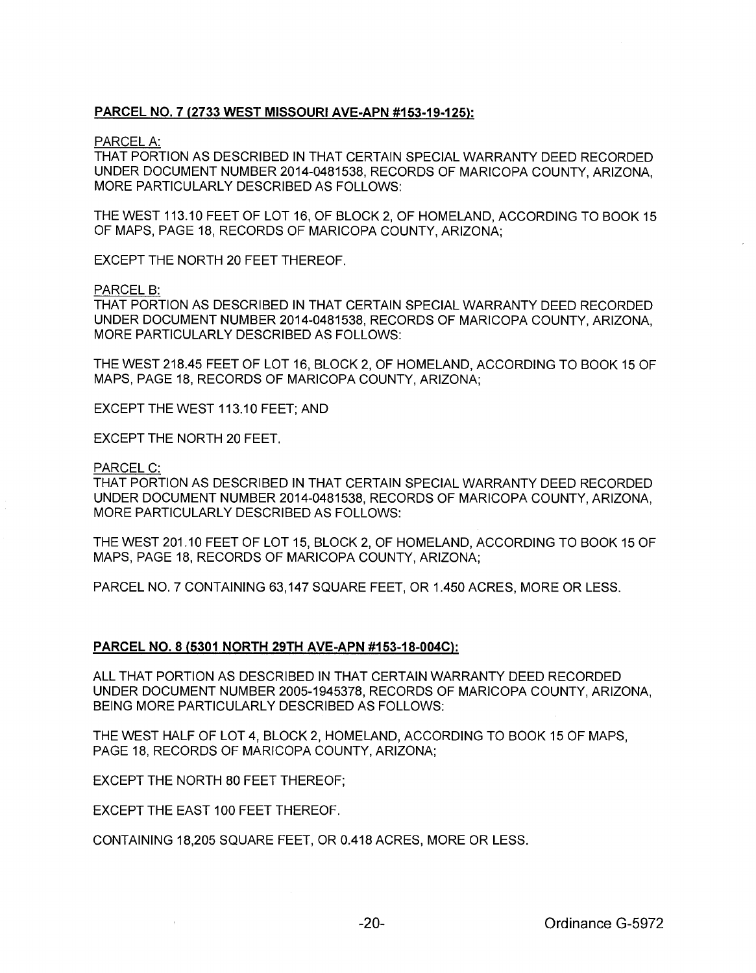## **PARCEL NO.7 (2733 WEST MISSOURI AVE-APN #153-19-125):**

PARCEL A:

THAT PORTION AS DESCRIBED IN THAT CERTAIN SPECIAL WARRANTY DEED RECORDED UNDER DOCUMENT NUMBER 2014-0481538, RECORDS OF MARICOPA COUNTY, ARIZONA, MORE PARTICULARLY DESCRIBED AS FOLLOWS:

THE WEST 113.10 FEET OF LOT 16, OF BLOCK 2, OF HOMELAND, ACCORDING TO BOOK 15 OF MAPS, PAGE 18, RECORDS OF MARICOPA COUNTY, ARIZONA;

EXCEPT THE NORTH 20 FEET THEREOF.

#### PARCEL B:

THAT PORTION AS DESCRIBED IN THAT CERTAIN SPECIAL WARRANTY DEED RECORDED UNDER DOCUMENT NUMBER 2014-0481538, RECORDS OF MARICOPA COUNTY, ARIZONA, MORE PARTICULARLY DESCRIBED AS FOLLOWS:

THE WEST 218.45 FEET OF LOT 16, BLOCK 2, OF HOMELAND, ACCORDING TO BOOK 15 OF MAPS, PAGE 18, RECORDS OF MARICOPA COUNTY, ARIZONA;

EXCEPT THE WEST 113.10 FEET; AND

EXCEPT THE NORTH 20 FEET.

#### PARCEL C:

THAT PORTION AS DESCRIBED IN THAT CERTAIN SPECIAL WARRANTY DEED RECORDED UNDER DOCUMENT NUMBER 2014-0481538, RECORDS OF MARICOPA COUNTY, ARIZONA, MORE PARTICULARLY DESCRIBED AS FOLLOWS:

THE WEST 201.10 FEET OF LOT 15, BLOCK 2, OF HOMELAND, ACCORDING TO BOOK 15 OF MAPS, PAGE 18, RECORDS OF MARICOPA COUNTY, ARIZONA;

PARCEL NO.7 CONTAINING 63,147 SQUARE FEET, OR 1.450 ACRES, MORE OR LESS.

#### **PARCEL NO.8 (5301 NORTH 29TH AVE-APN #153-18-004C):**

ALL THAT PORTION AS DESCRIBED IN THAT CERTAIN WARRANTY DEED RECORDED UNDER DOCUMENT NUMBER 2005-1945378, RECORDS OF MARICOPA COUNTY, ARIZONA, BEING MORE PARTICULARLY DESCRIBED AS FOLLOWS:

THE WEST HALF OF LOT 4, BLOCK 2, HOMELAND, ACCORDING TO BOOK 15 OF MAPS, PAGE 18, RECORDS OF MARICOPA COUNTY, ARIZONA;

EXCEPT THE NORTH 80 FEET THEREOF;

EXCEPT THE EAST 100 FEET THEREOF.

CONTAINING 18,205 SQUARE FEET, OR 0.418 ACRES, MORE OR LESS.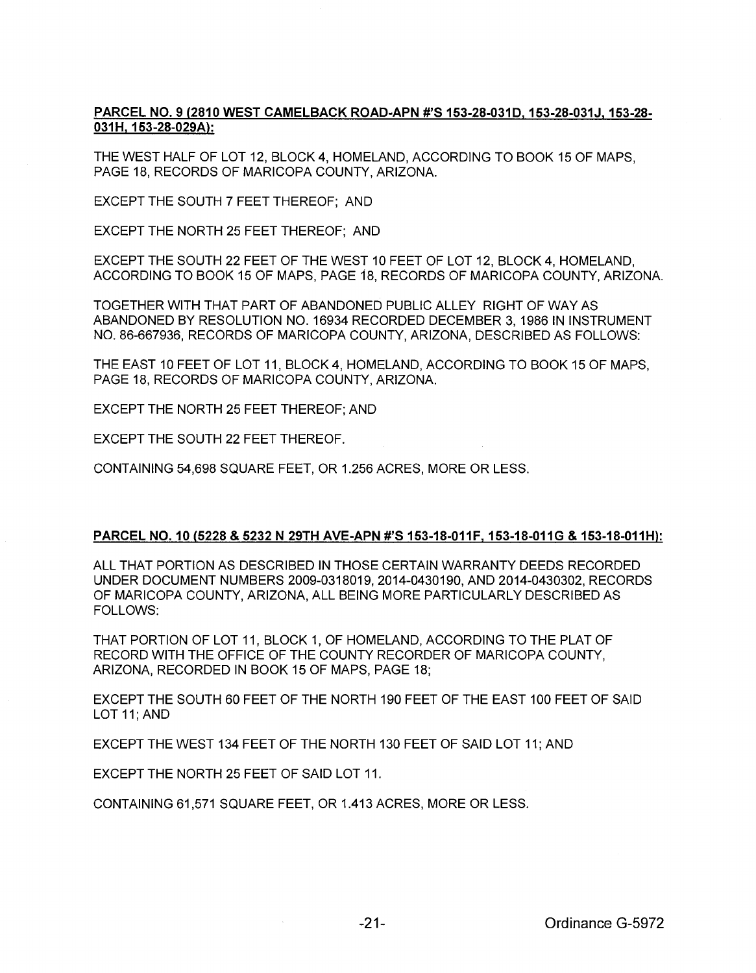## PARCEL NO.9 (2810 WEST CAMELBACK ROAD-APN #'S 153-28-0310, 153-28-031J, 153-28- 031H, 153-28-029A):

THE WEST HALF OF LOT 12, BLOCK 4, HOMELAND, ACCORDING TO BOOK 15 OF MAPS, PAGE 18, RECORDS OF MARICOPA COUNTY, ARIZONA.

EXCEPT THE SOUTH 7 FEET THEREOF; AND

EXCEPT THE NORTH 25 FEET THEREOF; AND

EXCEPT THE SOUTH 22 FEET OF THE WEST 10 FEET OF LOT 12, BLOCK 4, HOMELAND, ACCORDING TO BOOK 15 OF MAPS, PAGE 18, RECORDS OF MARICOPA COUNTY, ARIZONA.

TOGETHER WITH THAT PART OF ABANDONED PUBLIC ALLEY RIGHT OF WAY AS ABANDONED BY RESOLUTION NO. 16934 RECORDED DECEMBER 3, 1986 IN INSTRUMENT NO. 86-667936, RECORDS OF MARICOPA COUNTY, ARIZONA, DESCRIBED AS FOLLOWS:

THE EAST 10 FEET OF LOT 11, BLOCK 4, HOMELAND, ACCORDING TO BOOK 15 OF MAPS, PAGE 18, RECORDS OF MARICOPA COUNTY, ARIZONA.

EXCEPT THE NORTH 25 FEET THEREOF; AND

EXCEPT THE SOUTH 22 FEET THEREOF.

CONTAINING 54,698 SQUARE FEET, OR 1.256 ACRES, MORE OR LESS.

#### PARCEL N0.10 (5228 & 5232 N 29TH AVE-APN #'S 153-18-011F, 153-18-011G & 153-18-011H):

ALL THAT PORTION AS DESCRIBED IN THOSE CERTAIN WARRANTY DEEDS RECORDED UNDER DOCUMENT NUMBERS 2009-0318019,2014-0430190, AND 2014-0430302, RECORDS OF MARICOPA COUNTY, ARIZONA, ALL BEING MORE PARTICULARLY DESCRIBED AS FOLLOWS:

THAT PORTION OF LOT 11, BLOCK 1, OF HOMELAND, ACCORDING TO THE PLAT OF RECORD WITH THE OFFICE OF THE COUNTY RECORDER OF MARICOPA COUNTY, ARIZONA, RECORDED IN BOOK 15 OF MAPS, PAGE 18;

EXCEPT THE SOUTH 60 FEET OF THE NORTH 190 FEET OF THE EAST 100 FEET OF SAID LOT 11; AND

EXCEPT THE WEST 134 FEET OF THE NORTH 130 FEET OF SAID LOT 11; AND

EXCEPT THE NORTH 25 FEET OF SAID LOT 11.

CONTAINING 61,571 SQUARE FEET, OR 1.413 ACRES, MORE OR LESS.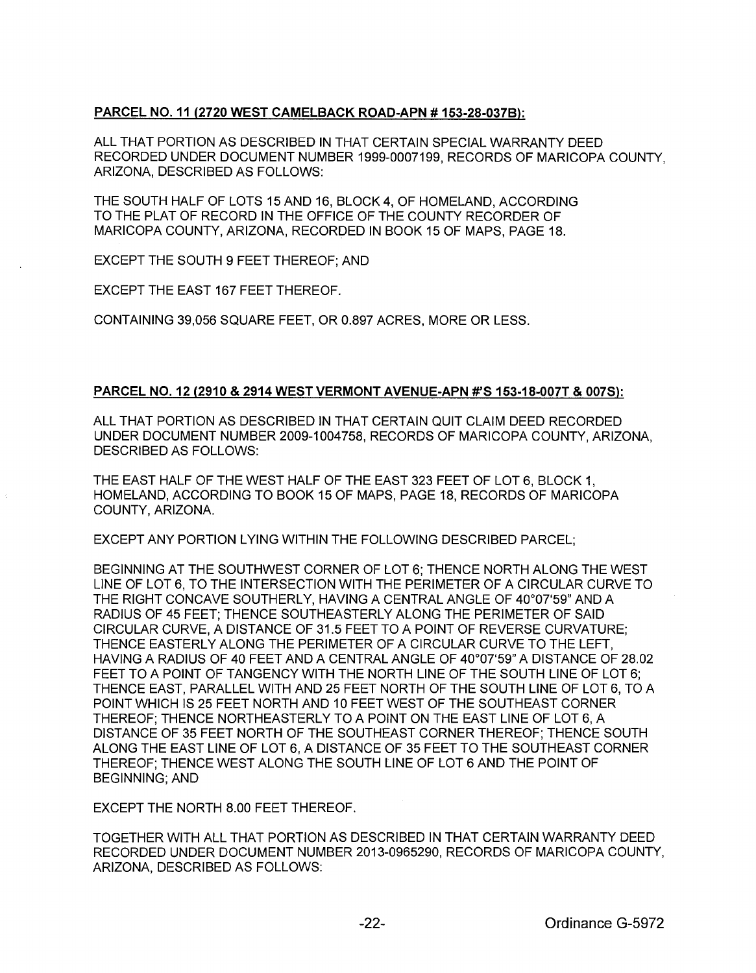# **PARCEL N0.11 (2720 WEST CAMELBACK ROAD-APN # 153-28-0378):**

ALL THAT PORTION AS DESCRIBED IN THAT CERTAIN SPECIAL WARRANTY DEED RECORDED UNDER DOCUMENT NUMBER 1999-0007199, RECORDS OF MARICOPA COUNTY, ARIZONA, DESCRIBED AS FOLLOWS:

THE SOUTH HALF OF LOTS 15 AND 16, BLOCK 4, OF HOMELAND, ACCORDING TO THE PLAT OF RECORD IN THE OFFICE OF THE COUNTY RECORDER OF MARICOPA COUNTY, ARIZONA, RECORDED IN BOOK 15 OF MAPS, PAGE 18.

EXCEPT THE SOUTH 9 FEET THEREOF; AND

EXCEPT THE EAST 167 FEET THEREOF.

CONTAINING 39,056 SQUARE FEET, OR 0.897 ACRES, MORE OR LESS.

## **PARCEL N0.12 (2910 & 2914 WEST VERMONT AVENUE-APN #'S 153-18-007T & 0075):**

ALL THAT PORTION AS DESCRIBED IN THAT CERTAIN QUIT CLAIM DEED RECORDED UNDER DOCUMENT NUMBER 2009-1004758, RECORDS OF MARICOPA COUNTY, ARIZONA, DESCRIBED AS FOLLOWS:

THE EAST HALF OF THE WEST HALF OF THE EAST 323 FEET OF LOT 6, BLOCK 1, HOMELAND, ACCORDING TO BOOK 15 OF MAPS, PAGE 18, RECORDS OF MARICOPA COUNTY, ARIZONA.

EXCEPT ANY PORTION LYING WITHIN THE FOLLOWING DESCRIBED PARCEL;

BEGINNING AT THE SOUTHWEST CORNER OF LOT 6; THENCE NORTH ALONG THE WEST LINE OF LOT 6, TO THE INTERSECTION WITH THE PERIMETER OF A CIRCULAR CURVE TO THE RIGHT CONCAVE SOUTHERLY, HAVING A CENTRAL ANGLE OF 40°07'59" AND A RADIUS OF 45 FEET; THENCE SOUTHEASTERLY ALONG THE PERIMETER OF SAID CIRCULAR CURVE, A DISTANCE OF 31.5 FEET TO A POINT OF REVERSE CURVATURE; THENCE EASTERLY ALONG THE PERIMETER OF A CIRCULAR CURVE TO THE LEFT, HAVING A RADIUS OF 40 FEET AND A CENTRAL ANGLE OF 40°07'59" A DISTANCE OF 28.02 FEET TO A POINT OF TANGENCY WITH THE NORTH LINE OF THE SOUTH LINE OF LOT 6; THENCE EAST, PARALLEL WITH AND 25 FEET NORTH OF THE SOUTH LINE OF LOT 6, TO A POINT WHICH IS 25 FEET NORTH AND 10 FEET WEST OF THE SOUTHEAST CORNER THEREOF; THENCE NORTHEASTERLY TO A POINT ON THE EAST LINE OF LOT 6, A DISTANCE OF 35 FEET NORTH OF THE SOUTHEAST CORNER THEREOF; THENCE SOUTH ALONG THE EAST LINE OF LOT 6, A DISTANCE OF 35 FEET TO THE SOUTHEAST CORNER THEREOF; THENCE WEST ALONG THE SOUTH LINE OF LOT 6 AND THE POINT OF BEGINNING; AND

EXCEPT THE NORTH 8.00 FEET THEREOF.

TOGETHER WITH ALL THAT PORTION AS DESCRIBED IN THAT CERTAIN WARRANTY DEED RECORDED UNDER DOCUMENT NUMBER 2013-0965290, RECORDS OF MARICOPA COUNTY, ARIZONA, DESCRIBED AS FOLLOWS: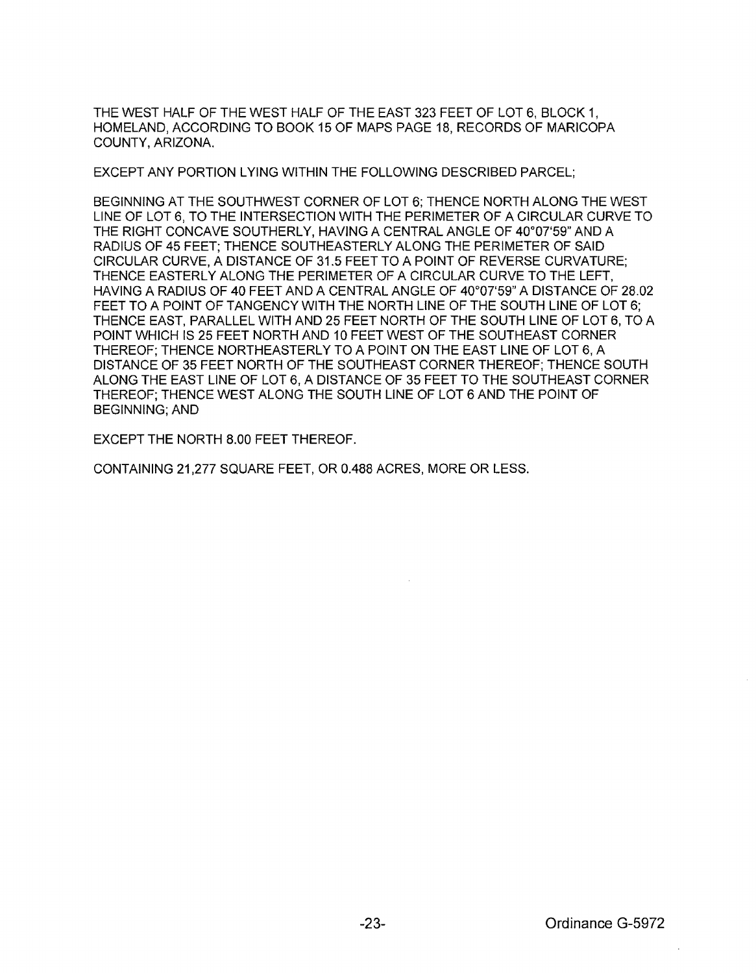THE WEST HALF OF THE WEST HALF OF THE EAST 323 FEET OF LOT 6, BLOCK 1, HOMELAND, ACCORDING TO BOOK 15 OF MAPS PAGE 18, RECORDS OF MARICOPA COUNTY, ARIZONA.

EXCEPT ANY PORTION LYING WITHIN THE FOLLOWING DESCRIBED PARCEL;

BEGINNING AT THE SOUTHWEST CORNER OF LOT 6; THENCE NORTH ALONG THE WEST LINE OF LOT 6, TO THE INTERSECTION WITH THE PERIMETER OF A CIRCULAR CURVE TO THE RIGHT CONCAVE SOUTHERLY, HAVING A CENTRAL ANGLE OF 40°07'59" AND A RADIUS OF 45 FEET; THENCE SOUTHEASTERLY ALONG THE PERIMETER OF SAID CIRCULAR CURVE, A DISTANCE OF 31.5 FEET TO A POINT OF REVERSE CURVATURE; THENCE EASTERLY ALONG THE PERIMETER OF A CIRCULAR CURVE TO THE LEFT, HAVING A RADIUS OF 40 FEET AND A CENTRAL ANGLE OF 40°07'59" A DISTANCE OF 28.02 FEET TO A POINT OF TANGENCY WITH THE NORTH LINE OF THE SOUTH LINE OF LOT 6; THENCE EAST, PARALLEL WITH AND 25 FEET NORTH OF THE SOUTH LINE OF LOT 6, TO A POINT WHICH IS 25 FEET NORTH AND 10 FEET WEST OF THE SOUTHEAST CORNER THEREOF; THENCE NORTHEASTERLY TO A POINT ON THE EAST LINE OF LOT 6, A DISTANCE OF 35 FEET NORTH OF THE SOUTHEAST CORNER THEREOF; THENCE SOUTH ALONG THE EAST LINE OF LOT 6, A DISTANCE OF 35 FEET TO THE SOUTHEAST CORNER THEREOF; THENCE WEST ALONG THE SOUTH LINE OF LOT 6 AND THE POINT OF BEGINNING; AND

EXCEPT THE NORTH 8.00 FEET THEREOF.

CONTAINING 21,277 SQUARE FEET, OR 0.488 ACRES, MORE OR LESS.